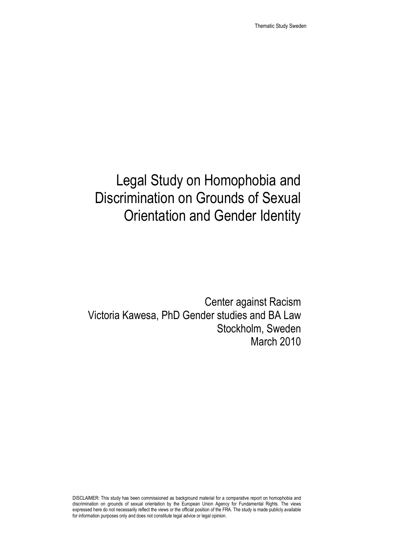# Legal Study on Homophobia and Discrimination on Grounds of Sexual Orientation and Gender Identity

Center against Racism Victoria Kawesa, PhD Gender studies and BA Law Stockholm, Sweden March 2010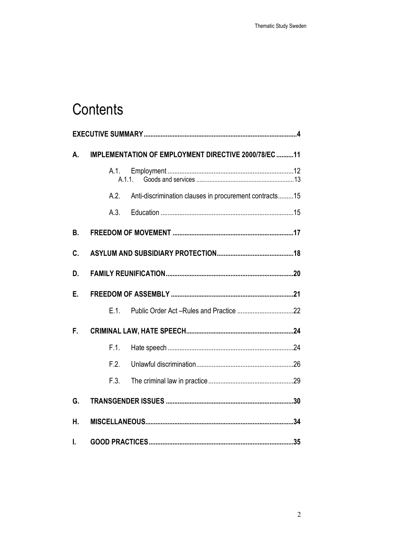# Contents

| А. | IMPLEMENTATION OF EMPLOYMENT DIRECTIVE 2000/78/EC 11           |  |
|----|----------------------------------------------------------------|--|
|    | A.1.<br>A.1.1.                                                 |  |
|    | A.2.<br>Anti-discrimination clauses in procurement contracts15 |  |
|    | A.3.                                                           |  |
| В. |                                                                |  |
| C. |                                                                |  |
| D. |                                                                |  |
| Е. |                                                                |  |
|    | $E.1$ .                                                        |  |
| F. |                                                                |  |
|    | F.1.                                                           |  |
|    | F.2.                                                           |  |
|    | F.3.                                                           |  |
| G. |                                                                |  |
| Η. |                                                                |  |
| I. |                                                                |  |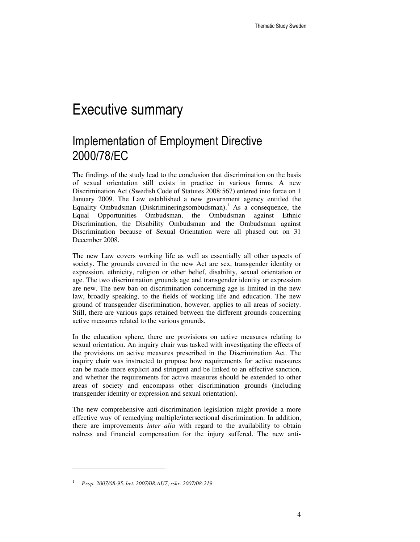## Executive summary

## Implementation of Employment Directive 2000/78/EC

The findings of the study lead to the conclusion that discrimination on the basis of sexual orientation still exists in practice in various forms. A new Discrimination Act (Swedish Code of Statutes 2008:567) entered into force on 1 January 2009. The Law established a new government agency entitled the Equality Ombudsman (Diskrimineringsombudsman).<sup>1</sup> As a consequence, the Equal Opportunities Ombudsman, the Ombudsman against Ethnic Discrimination, the Disability Ombudsman and the Ombudsman against Discrimination because of Sexual Orientation were all phased out on 31 December 2008.

The new Law covers working life as well as essentially all other aspects of society. The grounds covered in the new Act are sex, transgender identity or expression, ethnicity, religion or other belief, disability, sexual orientation or age. The two discrimination grounds age and transgender identity or expression are new. The new ban on discrimination concerning age is limited in the new law, broadly speaking, to the fields of working life and education. The new ground of transgender discrimination, however, applies to all areas of society. Still, there are various gaps retained between the different grounds concerning active measures related to the various grounds.

In the education sphere, there are provisions on active measures relating to sexual orientation. An inquiry chair was tasked with investigating the effects of the provisions on active measures prescribed in the Discrimination Act. The inquiry chair was instructed to propose how requirements for active measures can be made more explicit and stringent and be linked to an effective sanction, and whether the requirements for active measures should be extended to other areas of society and encompass other discrimination grounds (including transgender identity or expression and sexual orientation).

The new comprehensive anti-discrimination legislation might provide a more effective way of remedying multiple/intersectional discrimination. In addition, there are improvements *inter alia* with regard to the availability to obtain redress and financial compensation for the injury suffered. The new anti-

l

<sup>1</sup> *Prop. 2007/08:95*, *bet. 2007/08:AU7*, *rskr. 2007/08:219*.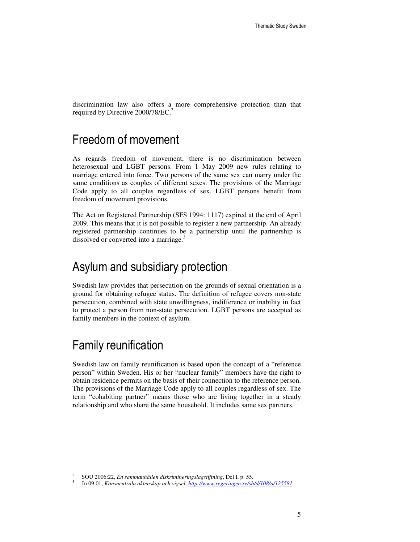discrimination law also offers a more comprehensive protection than that required by Directive 2000/78/EC.

### Freedom of movement

As regards freedom of movement, there is no discrimination between heterosexual and LGBT persons. From 1 May 2009 new rules relating to marriage entered into force. Two persons of the same sex can marry under the same conditions as couples of different sexes. The provisions of the Marriage Code apply to all couples regardless of sex. LGBT persons benefit from freedom of movement provisions.

The Act on Registered Partnership (SFS 1994: 1117) expired at the end of April 2009. This means that it is not possible to register a new partnership. An already registered partnership continues to be a partnership until the partnership is dissolved or converted into a marriage.<sup>3</sup>

## Asylum and subsidiary protection

Swedish law provides that persecution on the grounds of sexual orientation is a ground for obtaining refugee status. The definition of refugee covers non-state persecution, combined with state unwillingness, indifference or inability in fact to protect a person from non-state persecution. LGBT persons are accepted as family members in the context of asylum.

## Family reunification

 $\overline{a}$ 

Swedish law on family reunification is based upon the concept of a "reference person" within Sweden. His or her "nuclear family" members have the right to obtain residence permits on the basis of their connection to the reference person. The provisions of the Marriage Code apply to all couples regardless of sex. The term "cohabiting partner" means those who are living together in a steady relationship and who share the same household. It includes same sex partners.

<sup>2</sup> SOU 2006:22, *En sammanhållen diskrimineringslagstiftning*, Del I, p. 55.

<sup>3</sup> Ju 09.01, *Könsneutrala äktenskap och vigsel, http://www.regeringen.se/sb/d/108/a/125581*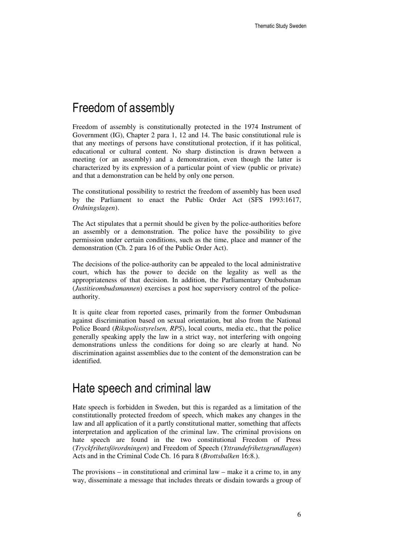## Freedom of assembly

Freedom of assembly is constitutionally protected in the 1974 Instrument of Government (IG), Chapter 2 para 1, 12 and 14. The basic constitutional rule is that any meetings of persons have constitutional protection, if it has political, educational or cultural content. No sharp distinction is drawn between a meeting (or an assembly) and a demonstration, even though the latter is characterized by its expression of a particular point of view (public or private) and that a demonstration can be held by only one person.

The constitutional possibility to restrict the freedom of assembly has been used by the Parliament to enact the Public Order Act (SFS 1993:1617, *Ordningslagen*).

The Act stipulates that a permit should be given by the police-authorities before an assembly or a demonstration. The police have the possibility to give permission under certain conditions, such as the time, place and manner of the demonstration (Ch. 2 para 16 of the Public Order Act).

The decisions of the police-authority can be appealed to the local administrative court, which has the power to decide on the legality as well as the appropriateness of that decision. In addition, the Parliamentary Ombudsman (*Justitieombudsmannen*) exercises a post hoc supervisory control of the policeauthority.

It is quite clear from reported cases, primarily from the former Ombudsman against discrimination based on sexual orientation, but also from the National Police Board (*Rikspolisstyrelsen, RPS*), local courts, media etc., that the police generally speaking apply the law in a strict way, not interfering with ongoing demonstrations unless the conditions for doing so are clearly at hand. No discrimination against assemblies due to the content of the demonstration can be identified.

### Hate speech and criminal law

Hate speech is forbidden in Sweden, but this is regarded as a limitation of the constitutionally protected freedom of speech, which makes any changes in the law and all application of it a partly constitutional matter, something that affects interpretation and application of the criminal law. The criminal provisions on hate speech are found in the two constitutional Freedom of Press (*Tryckfrihetsförordningen*) and Freedom of Speech (*Yttrandefrihetsgrundlagen*) Acts and in the Criminal Code Ch. 16 para 8 (*Brottsbalken* 16:8.).

The provisions – in constitutional and criminal law – make it a crime to, in any way, disseminate a message that includes threats or disdain towards a group of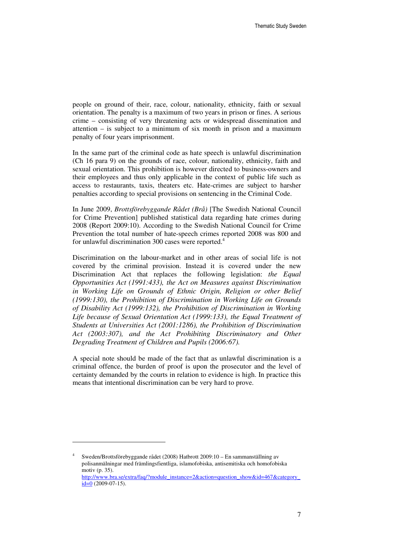people on ground of their, race, colour, nationality, ethnicity, faith or sexual orientation. The penalty is a maximum of two years in prison or fines. A serious crime – consisting of very threatening acts or widespread dissemination and attention – is subject to a minimum of six month in prison and a maximum penalty of four years imprisonment.

In the same part of the criminal code as hate speech is unlawful discrimination (Ch 16 para 9) on the grounds of race, colour, nationality, ethnicity, faith and sexual orientation. This prohibition is however directed to business-owners and their employees and thus only applicable in the context of public life such as access to restaurants, taxis, theaters etc. Hate-crimes are subject to harsher penalties according to special provisions on sentencing in the Criminal Code.

In June 2009, *Brottsförebyggande Rådet (Brå)* [The Swedish National Council for Crime Prevention] published statistical data regarding hate crimes during 2008 (Report 2009:10). According to the Swedish National Council for Crime Prevention the total number of hate-speech crimes reported 2008 was 800 and for unlawful discrimination 300 cases were reported.<sup>4</sup>

Discrimination on the labour-market and in other areas of social life is not covered by the criminal provision. Instead it is covered under the new Discrimination Act that replaces the following legislation: *the Equal Opportunities Act (1991:433), the Act on Measures against Discrimination in Working Life on Grounds of Ethnic Origin, Religion or other Belief (1999:130), the Prohibition of Discrimination in Working Life on Grounds of Disability Act (1999:132), the Prohibition of Discrimination in Working Life because of Sexual Orientation Act (1999:133), the Equal Treatment of Students at Universities Act (2001:1286), the Prohibition of Discrimination Act (2003:307), and the Act Prohibiting Discriminatory and Other Degrading Treatment of Children and Pupils (2006:67).* 

A special note should be made of the fact that as unlawful discrimination is a criminal offence, the burden of proof is upon the prosecutor and the level of certainty demanded by the courts in relation to evidence is high. In practice this means that intentional discrimination can be very hard to prove.

<sup>4</sup> Sweden/Brottsförebyggande rådet (2008) Hatbrott 2009:10 – En sammanställning av polisanmälningar med främlingsfientliga, islamofobiska, antisemitiska och homofobiska motiv (p. 35).

http://www.bra.se/extra/faq/?module\_instance=2&action=question\_show&id=467&category\_  $id=0$  (2009-07-15).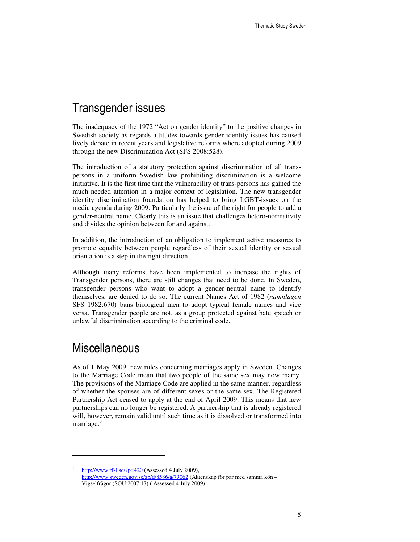## Transgender issues

The inadequacy of the 1972 "Act on gender identity" to the positive changes in Swedish society as regards attitudes towards gender identity issues has caused lively debate in recent years and legislative reforms where adopted during 2009 through the new Discrimination Act (SFS 2008:528).

The introduction of a statutory protection against discrimination of all transpersons in a uniform Swedish law prohibiting discrimination is a welcome initiative. It is the first time that the vulnerability of trans-persons has gained the much needed attention in a major context of legislation. The new transgender identity discrimination foundation has helped to bring LGBT-issues on the media agenda during 2009. Particularly the issue of the right for people to add a gender-neutral name. Clearly this is an issue that challenges hetero-normativity and divides the opinion between for and against.

In addition, the introduction of an obligation to implement active measures to promote equality between people regardless of their sexual identity or sexual orientation is a step in the right direction.

Although many reforms have been implemented to increase the rights of Transgender persons, there are still changes that need to be done. In Sweden, transgender persons who want to adopt a gender-neutral name to identify themselves, are denied to do so. The current Names Act of 1982 (*namnlagen* SFS 1982:670) bans biological men to adopt typical female names and vice versa. Transgender people are not, as a group protected against hate speech or unlawful discrimination according to the criminal code.

## **Miscellaneous**

 $\overline{a}$ 

As of 1 May 2009, new rules concerning marriages apply in Sweden. Changes to the Marriage Code mean that two people of the same sex may now marry. The provisions of the Marriage Code are applied in the same manner, regardless of whether the spouses are of different sexes or the same sex. The Registered Partnership Act ceased to apply at the end of April 2009. This means that new partnerships can no longer be registered. A partnership that is already registered will, however, remain valid until such time as it is dissolved or transformed into marriage.<sup>5</sup>

<sup>5</sup> http://www.rfsl.se/?p=420 (Assessed 4 July 2009), http://www.sweden.gov.se/sb/d/8586/a/79062 (Äktenskap för par med samma kön – Vigselfrågor (SOU 2007:17) ( Assessed 4 July 2009)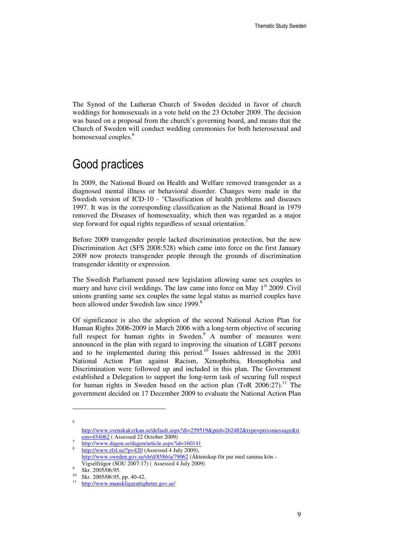The Synod of the Lutheran Church of Sweden decided in favor of church weddings for homosexuals in a vote held on the 23 October 2009. The decision was based on a proposal from the church's governing board, and means that the Church of Sweden will conduct wedding ceremonies for both heterosexual and homosexual couples.<sup>6</sup>

## Good practices

In 2009, the National Board on Health and Welfare removed transgender as a diagnosed mental illness or behavioral disorder. Changes were made in the Swedish version of ICD-10 - "Classification of health problems and diseases 1997. It was in the corresponding classification as the National Board in 1979 removed the Diseases of homosexuality, which then was regarded as a major step forward for equal rights regardless of sexual orientation.

Before 2009 transgender people lacked discrimination protection, but the new Discrimination Act (SFS 2008:528) which came into force on the first January 2009 now protects transgender people through the grounds of discrimination transgender identity or expression.

The Swedish Parliament passed new legislation allowing same sex couples to marry and have civil weddings. The law came into force on May  $1<sup>st</sup>$  2009. Civil unions granting same sex couples the same legal status as married couples have been allowed under Swedish law since 1999.<sup>8</sup>

Of significance is also the adoption of the second National Action Plan for Human Rights 2006-2009 in March 2006 with a long-term objective of securing full respect for human rights in Sweden.<sup>9</sup> A number of measures were announced in the plan with regard to improving the situation of LGBT persons and to be implemented during this period.<sup>10</sup> Issues addressed in the  $2001$ National Action Plan against Racism, Xenophobia, Homophobia and Discrimination were followed up and included in this plan. The Government established a Delegation to support the long-term task of securing full respect for human rights in Sweden based on the action plan (ToR 2006:27).<sup>11</sup> The government decided on 17 December 2009 to evaluate the National Action Plan

l 6

http://www.svenskakyrkan.se/default.aspx?di=259519&ptid=262482&type=pressmessage&it em=454062 ( Assessed 22 October 2009)

<sup>7</sup> http://www.dagen.se/dagen/article.aspx?id=160141

<sup>8</sup> http://www.rfsl.se/?p=420 (Assessed 4 July 2009), http://www.sweden.gov.se/sb/d/8586/a/79062 (Äktenskap för par med samma kön – Vigselfrågor (SOU 2007:17) ( Assessed 4 July 2009)

<sup>9</sup>  $\frac{9}{10}$  Skr. 2005/06:95.

Skr. 2005/06:95, pp. 40-42.

<sup>11</sup> http://www.manskligarattigheter.gov.se/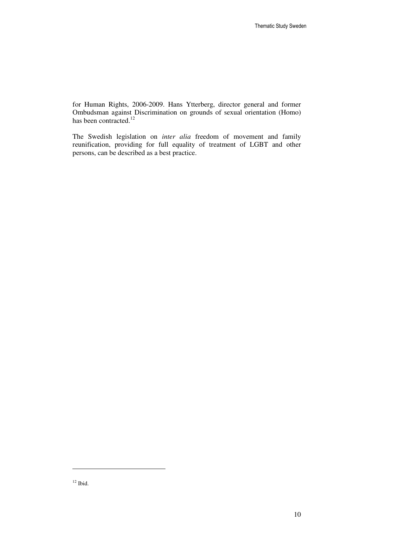for Human Rights, 2006-2009. Hans Ytterberg, director general and former Ombudsman against Discrimination on grounds of sexual orientation (Homo) has been contracted.<sup>12</sup>

The Swedish legislation on *inter alia* freedom of movement and family reunification, providing for full equality of treatment of LGBT and other persons, can be described as a best practice.

l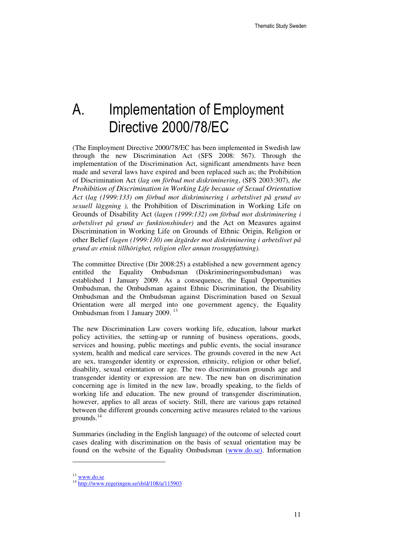# A. Implementation of Employment Directive 2000/78/EC

(The Employment Directive 2000/78/EC has been implemented in Swedish law through the new Discrimination Act (SFS 2008: 567). Through the implementation of the Discrimination Act, significant amendments have been made and several laws have expired and been replaced such as; the Prohibition of Discrimination Act (*lag om förbud mot diskriminering*, (SFS 2003:307), *the Prohibition of Discrimination in Working Life because of Sexual Orientation Act* (*lag (1999:133) om förbud mot diskriminering i arbetslivet på grund av sexuell läggning ),* the Prohibition of Discrimination in Working Life on Grounds of Disability Act (*lagen (1999:132) om förbud mot diskriminering i arbetslivet på grund av funktionshinder)* and the Act on Measures against Discrimination in Working Life on Grounds of Ethnic Origin, Religion or other Belief *(lagen (1999:130) om åtgärder mot diskriminering i arbetslivet på grund av etnisk tillhörighet, religion eller annan trosuppfattning).*

The committee Directive (Dir 2008:25) a established a new government agency entitled the Equality Ombudsman (Diskrimineringsombudsman) was established 1 January 2009. As a consequence, the Equal Opportunities Ombudsman, the Ombudsman against Ethnic Discrimination, the Disability Ombudsman and the Ombudsman against Discrimination based on Sexual Orientation were all merged into one government agency, the Equality Ombudsman from 1 January 2009.<sup>13</sup>

The new Discrimination Law covers working life, education, labour market policy activities, the setting-up or running of business operations, goods, services and housing, public meetings and public events, the social insurance system, health and medical care services. The grounds covered in the new Act are sex, transgender identity or expression, ethnicity, religion or other belief, disability, sexual orientation or age. The two discrimination grounds age and transgender identity or expression are new. The new ban on discrimination concerning age is limited in the new law, broadly speaking, to the fields of working life and education. The new ground of transgender discrimination, however, applies to all areas of society. Still, there are various gaps retained between the different grounds concerning active measures related to the various grounds. $^{14}$ 

Summaries (including in the English language) of the outcome of selected court cases dealing with discrimination on the basis of sexual orientation may be found on the website of the Equality Ombudsman (www.do.se). Information

<sup>13</sup> www.do.se

<sup>14</sup> http://www.regeringen.se/sb/d/108/a/115903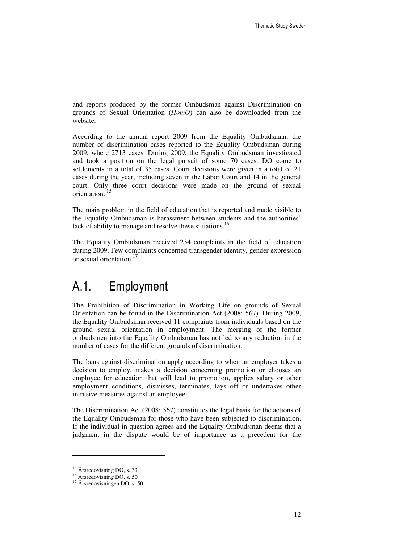and reports produced by the former Ombudsman against Discrimination on grounds of Sexual Orientation (*HomO*) can also be downloaded from the website.

According to the annual report 2009 from the Equality Ombudsman, the number of discrimination cases reported to the Equality Ombudsman during 2009, where 2713 cases. During 2009, the Equality Ombudsman investigated and took a position on the legal pursuit of some 70 cases. DO come to settlements in a total of 35 cases. Court decisions were given in a total of 21 cases during the year, including seven in the Labor Court and 14 in the general court. Only three court decisions were made on the ground of sexual orientation.<sup>15</sup>

The main problem in the field of education that is reported and made visible to the Equality Ombudsman is harassment between students and the authorities' lack of ability to manage and resolve these situations.<sup>16</sup>

The Equality Ombudsman received 234 complaints in the field of education during 2009. Few complaints concerned transgender identity, gender expression or sexual orientation.<sup>17</sup>

## A.1. Employment

The Prohibition of Discrimination in Working Life on grounds of Sexual Orientation can be found in the Discrimination Act (2008: 567). During 2009, the Equality Ombudsman received 11 complaints from individuals based on the ground sexual orientation in employment. The merging of the former ombudsmen into the Equality Ombudsman has not led to any reduction in the number of cases for the different grounds of discrimination.

The bans against discrimination apply according to when an employer takes a decision to employ, makes a decision concerning promotion or chooses an employee for education that will lead to promotion, applies salary or other employment conditions, dismisses, terminates, lays off or undertakes other intrusive measures against an employee.

The Discrimination Act (2008: 567) constitutes the legal basis for the actions of the Equality Ombudsman for those who have been subjected to discrimination. If the individual in question agrees and the Equality Ombudsman deems that a judgment in the dispute would be of importance as a precedent for the

<sup>&</sup>lt;sup>15</sup> Årsredovisning DO, s. 33

<sup>16</sup> Årsredovisning DO, s. 50

<sup>17</sup> Årsredovisningen DO, s. 50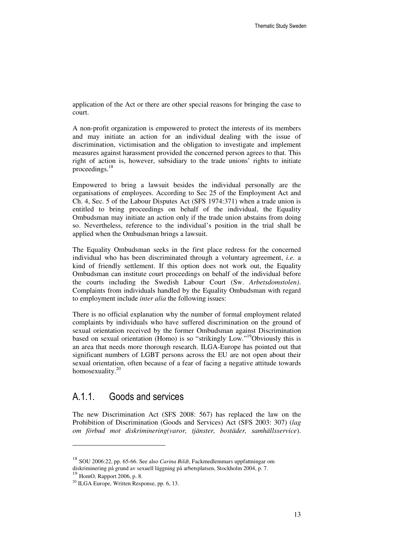application of the Act or there are other special reasons for bringing the case to court.

A non-profit organization is empowered to protect the interests of its members and may initiate an action for an individual dealing with the issue of discrimination, victimisation and the obligation to investigate and implement measures against harassment provided the concerned person agrees to that. This right of action is, however, subsidiary to the trade unions' rights to initiate proceedings. $18$ 

Empowered to bring a lawsuit besides the individual personally are the organisations of employees. According to Sec 25 of the Employment Act and Ch. 4, Sec. 5 of the Labour Disputes Act (SFS 1974:371) when a trade union is entitled to bring proceedings on behalf of the individual, the Equality Ombudsman may initiate an action only if the trade union abstains from doing so. Nevertheless, reference to the individual's position in the trial shall be applied when the Ombudsman brings a lawsuit.

The Equality Ombudsman seeks in the first place redress for the concerned individual who has been discriminated through a voluntary agreement, *i.e.* a kind of friendly settlement. If this option does not work out, the Equality Ombudsman can institute court proceedings on behalf of the individual before the courts including the Swedish Labour Court (Sw. *Arbetsdomstolen)*. Complaints from individuals handled by the Equality Ombudsman with regard to employment include *inter alia* the following issues:

There is no official explanation why the number of formal employment related complaints by individuals who have suffered discrimination on the ground of sexual orientation received by the former Ombudsman against Discrimination based on sexual orientation (Homo) is so "strikingly Low."<sup>19</sup>Obviously this is an area that needs more thorough research. ILGA-Europe has pointed out that significant numbers of LGBT persons across the EU are not open about their sexual orientation, often because of a fear of facing a negative attitude towards homosexuality. $20$ 

### A.1.1. Goods and services

The new Discrimination Act (SFS 2008: 567) has replaced the law on the Prohibition of Discrimination (Goods and Services) Act (SFS 2003: 307) (*lag om förbud mot diskriminering(varor, tjänster, bostäder, samhällsservice*).

l

<sup>18</sup> SOU 2006:22, pp. 65-66. See also *Carina Bildt*, Fackmedlemmars uppfattningar om diskriminering på grund av sexuell läggning på arbetsplatsen, Stockholm 2004, p. 7.

 $^{19}$  HomO, Rapport 2006, p. 8.

<sup>20</sup> ILGA Europe, Written Response, pp. 6, 13.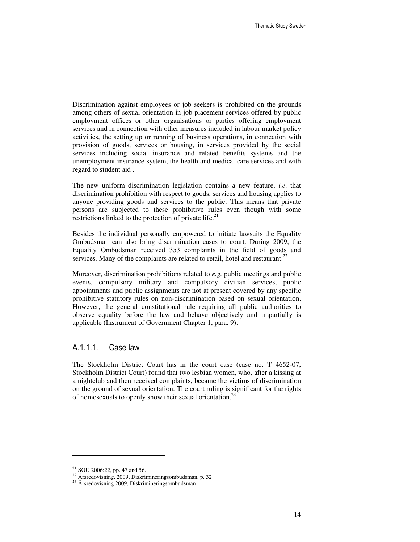Discrimination against employees or job seekers is prohibited on the grounds among others of sexual orientation in job placement services offered by public employment offices or other organisations or parties offering employment services and in connection with other measures included in labour market policy activities, the setting up or running of business operations, in connection with provision of goods, services or housing, in services provided by the social services including social insurance and related benefits systems and the unemployment insurance system, the health and medical care services and with regard to student aid .

The new uniform discrimination legislation contains a new feature, *i.e*. that discrimination prohibition with respect to goods, services and housing applies to anyone providing goods and services to the public. This means that private persons are subjected to these prohibitive rules even though with some restrictions linked to the protection of private life.<sup>21</sup>

Besides the individual personally empowered to initiate lawsuits the Equality Ombudsman can also bring discrimination cases to court. During 2009, the Equality Ombudsman received 353 complaints in the field of goods and services. Many of the complaints are related to retail, hotel and restaurant.<sup>22</sup>

Moreover, discrimination prohibitions related to *e.g.* public meetings and public events, compulsory military and compulsory civilian services, public appointments and public assignments are not at present covered by any specific prohibitive statutory rules on non-discrimination based on sexual orientation. However, the general constitutional rule requiring all public authorities to observe equality before the law and behave objectively and impartially is applicable (Instrument of Government Chapter 1, para. 9).

#### A.1.1.1. Case law

The Stockholm District Court has in the court case (case no. T 4652-07, Stockholm District Court) found that two lesbian women, who, after a kissing at a nightclub and then received complaints, became the victims of discrimination on the ground of sexual orientation. The court ruling is significant for the rights of homosexuals to openly show their sexual orientation.<sup>23</sup>

 $21$  SOU 2006:22, pp. 47 and 56.

 $22 \text{ Årstedovisning}, 2009, Diskrimineringsombudsman, p. 32$ 

<sup>23</sup> Årsredovisning 2009, Diskrimineringsombudsman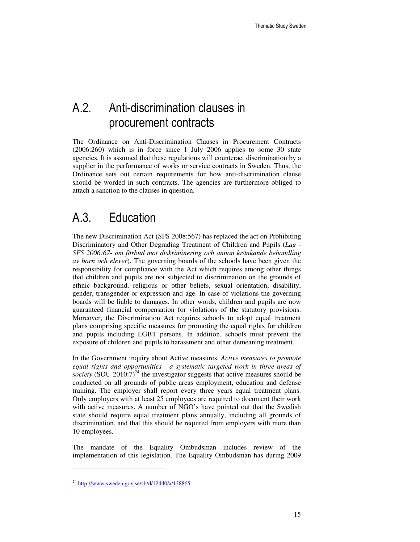## A.2. Anti-discrimination clauses in procurement contracts

The Ordinance on Anti-Discrimination Clauses in Procurement Contracts (2006:260) which is in force since 1 July 2006 applies to some 30 state agencies. It is assumed that these regulations will counteract discrimination by a supplier in the performance of works or service contracts in Sweden. Thus, the Ordinance sets out certain requirements for how anti-discrimination clause should be worded in such contracts. The agencies are furthermore obliged to attach a sanction to the clauses in question.

## A.3. Education

The new Discrimination Act (SFS 2008:567) has replaced the act on Prohibiting Discriminatory and Other Degrading Treatment of Children and Pupils (*Lag - SFS 2006:67- om förbud mot diskriminering och annan kränkande behandling av barn och elever*). The governing boards of the schools have been given the responsibility for compliance with the Act which requires among other things that children and pupils are not subjected to discrimination on the grounds of ethnic background, religious or other beliefs, sexual orientation, disability, gender, transgender or expression and age. In case of violations the governing boards will be liable to damages. In other words, children and pupils are now guaranteed financial compensation for violations of the statutory provisions. Moreover, the Discrimination Act requires schools to adopt equal treatment plans comprising specific measures for promoting the equal rights for children and pupils including LGBT persons. In addition, schools must prevent the exposure of children and pupils to harassment and other demeaning treatment.

In the Government inquiry about Active measures, *Active measures to promote equal rights and opportunities - a systematic targeted work in three areas of society* (SOU 2010:7)<sup>24</sup> the investigator suggests that active measures should be conducted on all grounds of public areas employment, education and defense training. The employer shall report every three years equal treatment plans. Only employers with at least 25 employees are required to document their work with active measures. A number of NGO's have pointed out that the Swedish state should require equal treatment plans annually, including all grounds of discrimination, and that this should be required from employers with more than 10 employees.

The mandate of the Equality Ombudsman includes review of the implementation of this legislation. The Equality Ombudsman has during 2009

l

<sup>24</sup> http://www.sweden.gov.se/sb/d/12440/a/138865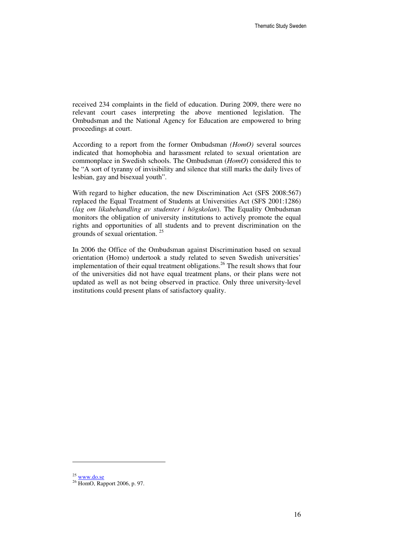received 234 complaints in the field of education. During 2009, there were no relevant court cases interpreting the above mentioned legislation. The Ombudsman and the National Agency for Education are empowered to bring proceedings at court.

According to a report from the former Ombudsman *(HomO)* several sources indicated that homophobia and harassment related to sexual orientation are commonplace in Swedish schools. The Ombudsman (*HomO*) considered this to be "A sort of tyranny of invisibility and silence that still marks the daily lives of lesbian, gay and bisexual youth".

With regard to higher education, the new Discrimination Act (SFS 2008:567) replaced the Equal Treatment of Students at Universities Act (SFS 2001:1286) (*lag om likabehandling av studenter i högskolan*). The Equality Ombudsman monitors the obligation of university institutions to actively promote the equal rights and opportunities of all students and to prevent discrimination on the grounds of sexual orientation. <sup>25</sup>

In 2006 the Office of the Ombudsman against Discrimination based on sexual orientation (Homo) undertook a study related to seven Swedish universities' implementation of their equal treatment obligations. <sup>26</sup> The result shows that four of the universities did not have equal treatment plans, or their plans were not updated as well as not being observed in practice. Only three university-level institutions could present plans of satisfactory quality.

 $25$  www.do.se

<sup>&</sup>lt;sup>26</sup> HomO, Rapport 2006, p. 97.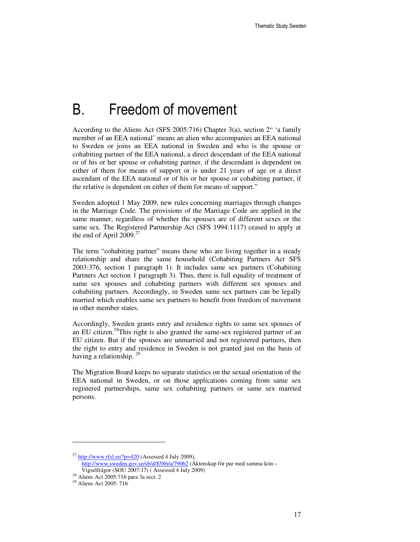## B. Freedom of movement

According to the Aliens Act (SFS 2005:716) Chapter 3(a), section 2" 'a family member of an EEA national' means an alien who accompanies an EEA national to Sweden or joins an EEA national in Sweden and who is the spouse or cohabiting partner of the EEA national, a direct descendant of the EEA national or of his or her spouse or cohabiting partner, if the descendant is dependent on either of them for means of support or is under 21 years of age or a direct ascendant of the EEA national or of his or her spouse or cohabiting partner, if the relative is dependent on either of them for means of support."

Sweden adopted 1 May 2009, new rules concerning marriages through changes in the Marriage Code. The provisions of the Marriage Code are applied in the same manner, regardless of whether the spouses are of different sexes or the same sex. The Registered Partnership Act (SFS 1994:1117) ceased to apply at the end of April  $2009$ <sup>27</sup>

The term "cohabiting partner" means those who are living together in a steady relationship and share the same household (Cohabiting Partners Act SFS 2003:376, section 1 paragraph 1). It includes same sex partners (Cohabiting Partners Act section 1 paragraph 3). Thus, there is full equality of treatment of same sex spouses and cohabiting partners with different sex spouses and cohabiting partners. Accordingly, in Sweden same sex partners can be legally married which enables same sex partners to benefit from freedom of movement in other member states.

Accordingly, Sweden grants entry and residence rights to same sex spouses of an EU citizen.<sup>28</sup>This right is also granted the same-sex registered partner of an EU citizen. But if the spouses are unmarried and not registered partners, then the right to entry and residence in Sweden is not granted just on the basis of having a relationship.  $29$ 

The Migration Board keeps no separate statistics on the sexual orientation of the EEA national in Sweden, or on those applications coming from same sex registered partnerships, same sex cohabiting partners or same sex married persons.

 $^{27}$  http://www.rfsl.se/?p=420 (Assessed 4 July 2009), http://www.sweden.gov.se/sb/d/8586/a/79062 (Äktenskap för par med samma kön – Vigselfrågor (SOU 2007:17) ( Assessed 4 July 2009)

<sup>28</sup> Aliens Act 2005:716 para 3a sect. 2

<sup>29</sup> Aliens Act 2005: 716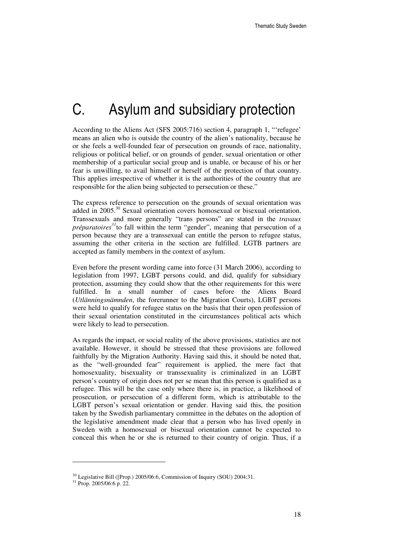# C. Asylum and subsidiary protection

According to the Aliens Act (SFS 2005:716) section 4, paragraph 1, "'refugee' means an alien who is outside the country of the alien's nationality, because he or she feels a well-founded fear of persecution on grounds of race, nationality, religious or political belief, or on grounds of gender, sexual orientation or other membership of a particular social group and is unable, or because of his or her fear is unwilling, to avail himself or herself of the protection of that country. This applies irrespective of whether it is the authorities of the country that are responsible for the alien being subjected to persecution or these."

The express reference to persecution on the grounds of sexual orientation was added in 2005.<sup>30</sup> Sexual orientation covers homosexual or bisexual orientation. Transsexuals and more generally "trans persons" are stated in the *travaux préparatoires<sup>31</sup>*to fall within the term "gender", meaning that persecution of a person because they are a transsexual can entitle the person to refugee status, assuming the other criteria in the section are fulfilled. LGTB partners are accepted as family members in the context of asylum.

Even before the present wording came into force (31 March 2006), according to legislation from 1997, LGBT persons could, and did, qualify for subsidiary protection, assuming they could show that the other requirements for this were fulfilled. In a small number of cases before the Aliens Board (*Utlänningsnämnden*, the forerunner to the Migration Courts), LGBT persons were held to qualify for refugee status on the basis that their open profession of their sexual orientation constituted in the circumstances political acts which were likely to lead to persecution.

As regards the impact, or social reality of the above provisions, statistics are not available. However, it should be stressed that these provisions are followed faithfully by the Migration Authority. Having said this, it should be noted that, as the "well-grounded fear" requirement is applied, the mere fact that homosexuality, bisexuality or transsexuality is criminalized in an LGBT person's country of origin does not per se mean that this person is qualified as a refugee. This will be the case only where there is, in practice, a likelihood of prosecution, or persecution of a different form, which is attributable to the LGBT person's sexual orientation or gender. Having said this, the position taken by the Swedish parliamentary committee in the debates on the adoption of the legislative amendment made clear that a person who has lived openly in Sweden with a homosexual or bisexual orientation cannot be expected to conceal this when he or she is returned to their country of origin. Thus, if a

 $30$  Legislative Bill ([Prop.) 2005/06:6, Commission of Inquiry (SOU) 2004:31.

<sup>31</sup> Prop. 2005/06:6 p. 22.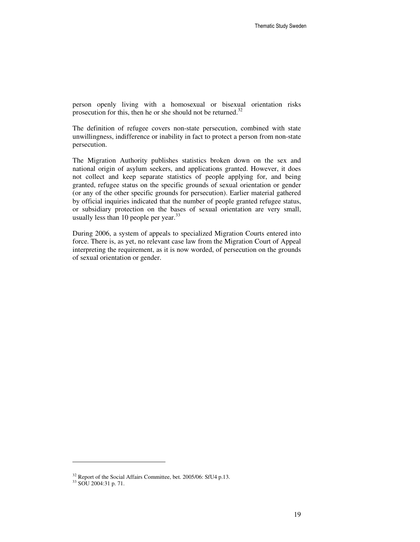person openly living with a homosexual or bisexual orientation risks prosecution for this, then he or she should not be returned.<sup>32</sup>

The definition of refugee covers non-state persecution, combined with state unwillingness, indifference or inability in fact to protect a person from non-state persecution.

The Migration Authority publishes statistics broken down on the sex and national origin of asylum seekers, and applications granted. However, it does not collect and keep separate statistics of people applying for, and being granted, refugee status on the specific grounds of sexual orientation or gender (or any of the other specific grounds for persecution). Earlier material gathered by official inquiries indicated that the number of people granted refugee status, or subsidiary protection on the bases of sexual orientation are very small, usually less than 10 people per year.<sup>33</sup>

During 2006, a system of appeals to specialized Migration Courts entered into force. There is, as yet, no relevant case law from the Migration Court of Appeal interpreting the requirement, as it is now worded, of persecution on the grounds of sexual orientation or gender.

<sup>&</sup>lt;sup>32</sup> Report of the Social Affairs Committee, bet. 2005/06: SfU4 p.13.

<sup>33</sup> SOU 2004:31 p. 71.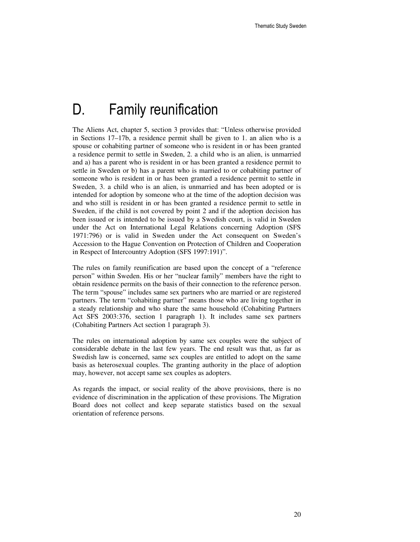## D. Family reunification

The Aliens Act, chapter 5, section 3 provides that: "Unless otherwise provided in Sections 17–17b, a residence permit shall be given to 1. an alien who is a spouse or cohabiting partner of someone who is resident in or has been granted a residence permit to settle in Sweden, 2. a child who is an alien, is unmarried and a) has a parent who is resident in or has been granted a residence permit to settle in Sweden or b) has a parent who is married to or cohabiting partner of someone who is resident in or has been granted a residence permit to settle in Sweden, 3. a child who is an alien, is unmarried and has been adopted or is intended for adoption by someone who at the time of the adoption decision was and who still is resident in or has been granted a residence permit to settle in Sweden, if the child is not covered by point 2 and if the adoption decision has been issued or is intended to be issued by a Swedish court, is valid in Sweden under the Act on International Legal Relations concerning Adoption (SFS 1971:796) or is valid in Sweden under the Act consequent on Sweden's Accession to the Hague Convention on Protection of Children and Cooperation in Respect of Intercountry Adoption (SFS 1997:191)".

The rules on family reunification are based upon the concept of a "reference person" within Sweden. His or her "nuclear family" members have the right to obtain residence permits on the basis of their connection to the reference person. The term "spouse" includes same sex partners who are married or are registered partners. The term "cohabiting partner" means those who are living together in a steady relationship and who share the same household (Cohabiting Partners Act SFS 2003:376, section 1 paragraph 1). It includes same sex partners (Cohabiting Partners Act section 1 paragraph 3).

The rules on international adoption by same sex couples were the subject of considerable debate in the last few years. The end result was that, as far as Swedish law is concerned, same sex couples are entitled to adopt on the same basis as heterosexual couples. The granting authority in the place of adoption may, however, not accept same sex couples as adopters.

As regards the impact, or social reality of the above provisions, there is no evidence of discrimination in the application of these provisions. The Migration Board does not collect and keep separate statistics based on the sexual orientation of reference persons.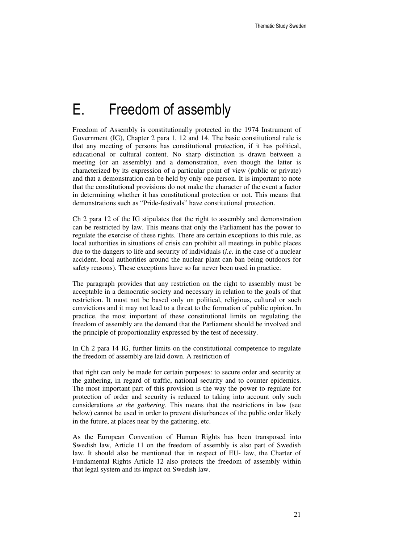## E. Freedom of assembly

Freedom of Assembly is constitutionally protected in the 1974 Instrument of Government (IG), Chapter 2 para 1, 12 and 14. The basic constitutional rule is that any meeting of persons has constitutional protection, if it has political, educational or cultural content. No sharp distinction is drawn between a meeting (or an assembly) and a demonstration, even though the latter is characterized by its expression of a particular point of view (public or private) and that a demonstration can be held by only one person. It is important to note that the constitutional provisions do not make the character of the event a factor in determining whether it has constitutional protection or not. This means that demonstrations such as "Pride-festivals" have constitutional protection.

Ch 2 para 12 of the IG stipulates that the right to assembly and demonstration can be restricted by law. This means that only the Parliament has the power to regulate the exercise of these rights. There are certain exceptions to this rule, as local authorities in situations of crisis can prohibit all meetings in public places due to the dangers to life and security of individuals (*i.e*. in the case of a nuclear accident, local authorities around the nuclear plant can ban being outdoors for safety reasons). These exceptions have so far never been used in practice.

The paragraph provides that any restriction on the right to assembly must be acceptable in a democratic society and necessary in relation to the goals of that restriction. It must not be based only on political, religious, cultural or such convictions and it may not lead to a threat to the formation of public opinion. In practice, the most important of these constitutional limits on regulating the freedom of assembly are the demand that the Parliament should be involved and the principle of proportionality expressed by the test of necessity.

In Ch 2 para 14 IG, further limits on the constitutional competence to regulate the freedom of assembly are laid down. A restriction of

that right can only be made for certain purposes: to secure order and security at the gathering, in regard of traffic, national security and to counter epidemics. The most important part of this provision is the way the power to regulate for protection of order and security is reduced to taking into account only such considerations *at the gathering*. This means that the restrictions in law (see below) cannot be used in order to prevent disturbances of the public order likely in the future, at places near by the gathering, etc.

As the European Convention of Human Rights has been transposed into Swedish law, Article 11 on the freedom of assembly is also part of Swedish law. It should also be mentioned that in respect of EU- law, the Charter of Fundamental Rights Article 12 also protects the freedom of assembly within that legal system and its impact on Swedish law.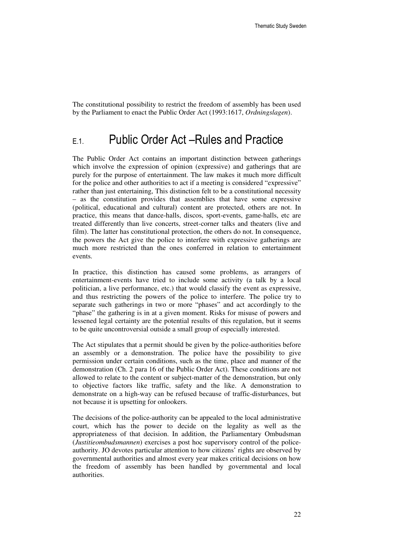The constitutional possibility to restrict the freedom of assembly has been used by the Parliament to enact the Public Order Act (1993:1617, *Ordningslagen*).

### E.1. Public Order Act –Rules and Practice

The Public Order Act contains an important distinction between gatherings which involve the expression of opinion (expressive) and gatherings that are purely for the purpose of entertainment. The law makes it much more difficult for the police and other authorities to act if a meeting is considered "expressive" rather than just entertaining, This distinction felt to be a constitutional necessity – as the constitution provides that assemblies that have some expressive (political, educational and cultural) content are protected, others are not. In practice, this means that dance-halls, discos, sport-events, game-halls, etc are treated differently than live concerts, street-corner talks and theaters (live and film). The latter has constitutional protection, the others do not. In consequence, the powers the Act give the police to interfere with expressive gatherings are much more restricted than the ones conferred in relation to entertainment events.

In practice, this distinction has caused some problems, as arrangers of entertainment-events have tried to include some activity (a talk by a local politician, a live performance, etc.) that would classify the event as expressive, and thus restricting the powers of the police to interfere. The police try to separate such gatherings in two or more "phases" and act accordingly to the "phase" the gathering is in at a given moment. Risks for misuse of powers and lessened legal certainty are the potential results of this regulation, but it seems to be quite uncontroversial outside a small group of especially interested.

The Act stipulates that a permit should be given by the police-authorities before an assembly or a demonstration. The police have the possibility to give permission under certain conditions, such as the time, place and manner of the demonstration (Ch. 2 para 16 of the Public Order Act). These conditions are not allowed to relate to the content or subject-matter of the demonstration, but only to objective factors like traffic, safety and the like. A demonstration to demonstrate on a high-way can be refused because of traffic-disturbances, but not because it is upsetting for onlookers.

The decisions of the police-authority can be appealed to the local administrative court, which has the power to decide on the legality as well as the appropriateness of that decision. In addition, the Parliamentary Ombudsman (*Justitieombudsmannen*) exercises a post hoc supervisory control of the policeauthority. JO devotes particular attention to how citizens' rights are observed by governmental authorities and almost every year makes critical decisions on how the freedom of assembly has been handled by governmental and local authorities.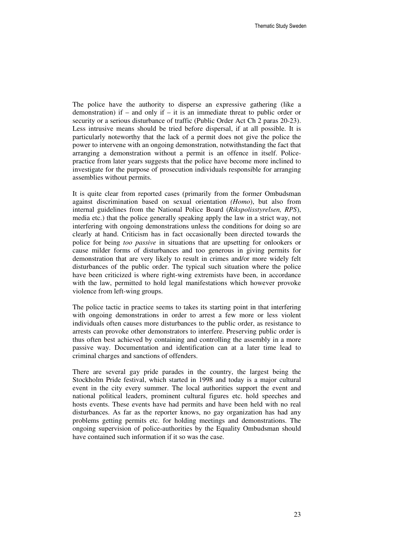The police have the authority to disperse an expressive gathering (like a demonstration) if – and only if – it is an immediate threat to public order or security or a serious disturbance of traffic (Public Order Act Ch 2 paras 20-23). Less intrusive means should be tried before dispersal, if at all possible. It is particularly noteworthy that the lack of a permit does not give the police the power to intervene with an ongoing demonstration, notwithstanding the fact that arranging a demonstration without a permit is an offence in itself. Policepractice from later years suggests that the police have become more inclined to investigate for the purpose of prosecution individuals responsible for arranging assemblies without permits.

It is quite clear from reported cases (primarily from the former Ombudsman against discrimination based on sexual orientation *(Homo*), but also from internal guidelines from the National Police Board (*Rikspolisstyrelsen, RPS*), media etc.) that the police generally speaking apply the law in a strict way, not interfering with ongoing demonstrations unless the conditions for doing so are clearly at hand. Criticism has in fact occasionally been directed towards the police for being *too passive* in situations that are upsetting for onlookers or cause milder forms of disturbances and too generous in giving permits for demonstration that are very likely to result in crimes and/or more widely felt disturbances of the public order. The typical such situation where the police have been criticized is where right-wing extremists have been, in accordance with the law, permitted to hold legal manifestations which however provoke violence from left-wing groups.

The police tactic in practice seems to takes its starting point in that interfering with ongoing demonstrations in order to arrest a few more or less violent individuals often causes more disturbances to the public order, as resistance to arrests can provoke other demonstrators to interfere. Preserving public order is thus often best achieved by containing and controlling the assembly in a more passive way. Documentation and identification can at a later time lead to criminal charges and sanctions of offenders.

There are several gay pride parades in the country, the largest being the Stockholm Pride festival, which started in 1998 and today is a major cultural event in the city every summer. The local authorities support the event and national political leaders, prominent cultural figures etc. hold speeches and hosts events. These events have had permits and have been held with no real disturbances. As far as the reporter knows, no gay organization has had any problems getting permits etc. for holding meetings and demonstrations. The ongoing supervision of police-authorities by the Equality Ombudsman should have contained such information if it so was the case.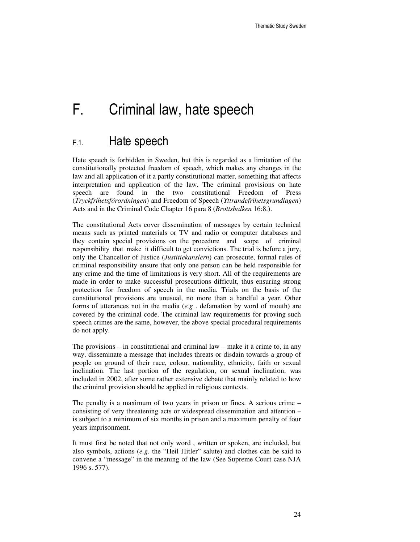# F. Criminal law, hate speech

### F.1. Hate speech

Hate speech is forbidden in Sweden, but this is regarded as a limitation of the constitutionally protected freedom of speech, which makes any changes in the law and all application of it a partly constitutional matter, something that affects interpretation and application of the law. The criminal provisions on hate speech are found in the two constitutional Freedom of Press (*Tryckfrihetsförordningen*) and Freedom of Speech (*Yttrandefrihetsgrundlagen*) Acts and in the Criminal Code Chapter 16 para 8 (*Brottsbalken* 16:8.).

The constitutional Acts cover dissemination of messages by certain technical means such as printed materials or TV and radio or computer databases and they contain special provisions on the procedure and scope of criminal responsibility that make it difficult to get convictions. The trial is before a jury, only the Chancellor of Justice (*Justitiekanslern*) can prosecute, formal rules of criminal responsibility ensure that only one person can be held responsible for any crime and the time of limitations is very short. All of the requirements are made in order to make successful prosecutions difficult, thus ensuring strong protection for freedom of speech in the media. Trials on the basis of the constitutional provisions are unusual, no more than a handful a year. Other forms of utterances not in the media (*e.g* . defamation by word of mouth) are covered by the criminal code. The criminal law requirements for proving such speech crimes are the same, however, the above special procedural requirements do not apply.

The provisions  $-$  in constitutional and criminal law  $-$  make it a crime to, in any way, disseminate a message that includes threats or disdain towards a group of people on ground of their race, colour, nationality, ethnicity, faith or sexual inclination. The last portion of the regulation, on sexual inclination, was included in 2002, after some rather extensive debate that mainly related to how the criminal provision should be applied in religious contexts.

The penalty is a maximum of two years in prison or fines. A serious crime – consisting of very threatening acts or widespread dissemination and attention – is subject to a minimum of six months in prison and a maximum penalty of four years imprisonment.

It must first be noted that not only word , written or spoken, are included, but also symbols, actions (*e.g*. the "Heil Hitler" salute) and clothes can be said to convene a "message" in the meaning of the law (See Supreme Court case NJA 1996 s. 577).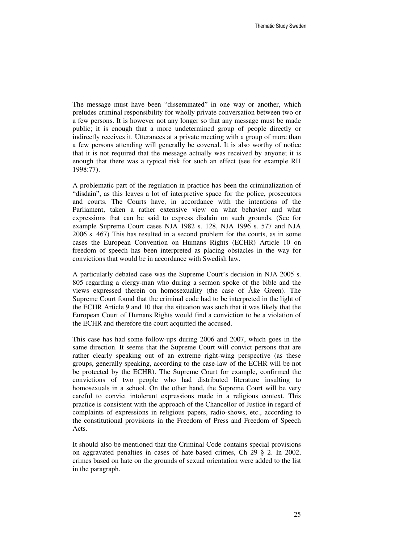The message must have been "disseminated" in one way or another, which preludes criminal responsibility for wholly private conversation between two or a few persons. It is however not any longer so that any message must be made public; it is enough that a more undetermined group of people directly or indirectly receives it. Utterances at a private meeting with a group of more than a few persons attending will generally be covered. It is also worthy of notice that it is not required that the message actually was received by anyone; it is enough that there was a typical risk for such an effect (see for example RH 1998:77).

A problematic part of the regulation in practice has been the criminalization of "disdain", as this leaves a lot of interpretive space for the police, prosecutors and courts. The Courts have, in accordance with the intentions of the Parliament, taken a rather extensive view on what behavior and what expressions that can be said to express disdain on such grounds. (See for example Supreme Court cases NJA 1982 s. 128, NJA 1996 s. 577 and NJA 2006 s. 467) This has resulted in a second problem for the courts, as in some cases the European Convention on Humans Rights (ECHR) Article 10 on freedom of speech has been interpreted as placing obstacles in the way for convictions that would be in accordance with Swedish law.

A particularly debated case was the Supreme Court's decision in NJA 2005 s. 805 regarding a clergy-man who during a sermon spoke of the bible and the views expressed therein on homosexuality (the case of Åke Green). The Supreme Court found that the criminal code had to be interpreted in the light of the ECHR Article 9 and 10 that the situation was such that it was likely that the European Court of Humans Rights would find a conviction to be a violation of the ECHR and therefore the court acquitted the accused.

This case has had some follow-ups during 2006 and 2007, which goes in the same direction. It seems that the Supreme Court will convict persons that are rather clearly speaking out of an extreme right-wing perspective (as these groups, generally speaking, according to the case-law of the ECHR will be not be protected by the ECHR). The Supreme Court for example, confirmed the convictions of two people who had distributed literature insulting to homosexuals in a school. On the other hand, the Supreme Court will be very careful to convict intolerant expressions made in a religious context. This practice is consistent with the approach of the Chancellor of Justice in regard of complaints of expressions in religious papers, radio-shows, etc., according to the constitutional provisions in the Freedom of Press and Freedom of Speech Acts.

It should also be mentioned that the Criminal Code contains special provisions on aggravated penalties in cases of hate-based crimes, Ch 29 § 2. In 2002, crimes based on hate on the grounds of sexual orientation were added to the list in the paragraph.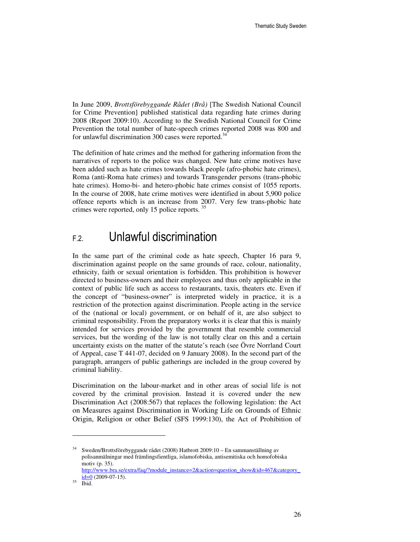In June 2009, *Brottsförebyggande Rådet (Brå)* [The Swedish National Council for Crime Prevention] published statistical data regarding hate crimes during 2008 (Report 2009:10). According to the Swedish National Council for Crime Prevention the total number of hate-speech crimes reported 2008 was 800 and for unlawful discrimination 300 cases were reported.<sup>34</sup>

The definition of hate crimes and the method for gathering information from the narratives of reports to the police was changed. New hate crime motives have been added such as hate crimes towards black people (afro-phobic hate crimes), Roma (anti-Roma hate crimes) and towards Transgender persons (trans-phobic hate crimes). Homo-bi- and hetero-phobic hate crimes consist of 1055 reports. In the course of 2008, hate crime motives were identified in about 5,900 police offence reports which is an increase from 2007. Very few trans-phobic hate crimes were reported, only 15 police reports.<sup>35</sup>

### F.2. Unlawful discrimination

In the same part of the criminal code as hate speech, Chapter 16 para 9, discrimination against people on the same grounds of race, colour, nationality, ethnicity, faith or sexual orientation is forbidden. This prohibition is however directed to business-owners and their employees and thus only applicable in the context of public life such as access to restaurants, taxis, theaters etc. Even if the concept of "business-owner" is interpreted widely in practice, it is a restriction of the protection against discrimination. People acting in the service of the (national or local) government, or on behalf of it, are also subject to criminal responsibility. From the preparatory works it is clear that this is mainly intended for services provided by the government that resemble commercial services, but the wording of the law is not totally clear on this and a certain uncertainty exists on the matter of the statute's reach (see Övre Norrland Court of Appeal, case T 441-07, decided on 9 January 2008). In the second part of the paragraph, arrangers of public gatherings are included in the group covered by criminal liability.

Discrimination on the labour-market and in other areas of social life is not covered by the criminal provision. Instead it is covered under the new Discrimination Act (2008:567) that replaces the following legislation: the Act on Measures against Discrimination in Working Life on Grounds of Ethnic Origin, Religion or other Belief (SFS 1999:130), the Act of Prohibition of

<sup>&</sup>lt;sup>34</sup> Sweden/Brottsförebyggande rådet (2008) Hatbrott 2009:10 – En sammanställning av polisanmälningar med främlingsfientliga, islamofobiska, antisemitiska och homofobiska motiv (p. 35).

http://www.bra.se/extra/faq/?module\_instance=2&action=question\_show&id=467&category\_  $id=0$  (2009-07-15).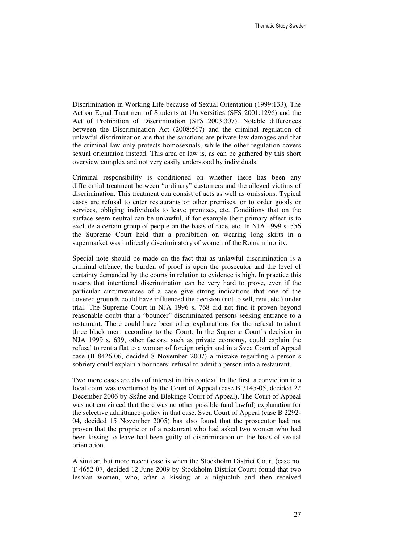Discrimination in Working Life because of Sexual Orientation (1999:133), The Act on Equal Treatment of Students at Universities (SFS 2001:1296) and the Act of Prohibition of Discrimination (SFS 2003:307). Notable differences between the Discrimination Act (2008:567) and the criminal regulation of unlawful discrimination are that the sanctions are private-law damages and that the criminal law only protects homosexuals, while the other regulation covers sexual orientation instead. This area of law is, as can be gathered by this short overview complex and not very easily understood by individuals.

Criminal responsibility is conditioned on whether there has been any differential treatment between "ordinary" customers and the alleged victims of discrimination. This treatment can consist of acts as well as omissions. Typical cases are refusal to enter restaurants or other premises, or to order goods or services, obliging individuals to leave premises, etc. Conditions that on the surface seem neutral can be unlawful, if for example their primary effect is to exclude a certain group of people on the basis of race, etc. In NJA 1999 s. 556 the Supreme Court held that a prohibition on wearing long skirts in a supermarket was indirectly discriminatory of women of the Roma minority.

Special note should be made on the fact that as unlawful discrimination is a criminal offence, the burden of proof is upon the prosecutor and the level of certainty demanded by the courts in relation to evidence is high. In practice this means that intentional discrimination can be very hard to prove, even if the particular circumstances of a case give strong indications that one of the covered grounds could have influenced the decision (not to sell, rent, etc.) under trial. The Supreme Court in NJA 1996 s. 768 did not find it proven beyond reasonable doubt that a "bouncer" discriminated persons seeking entrance to a restaurant. There could have been other explanations for the refusal to admit three black men, according to the Court. In the Supreme Court's decision in NJA 1999 s. 639, other factors, such as private economy, could explain the refusal to rent a flat to a woman of foreign origin and in a Svea Court of Appeal case (B 8426-06, decided 8 November 2007) a mistake regarding a person's sobriety could explain a bouncers' refusal to admit a person into a restaurant.

Two more cases are also of interest in this context. In the first, a conviction in a local court was overturned by the Court of Appeal (case B 3145-05, decided 22 December 2006 by Skåne and Blekinge Court of Appeal). The Court of Appeal was not convinced that there was no other possible (and lawful) explanation for the selective admittance-policy in that case. Svea Court of Appeal (case B 2292- 04, decided 15 November 2005) has also found that the prosecutor had not proven that the proprietor of a restaurant who had asked two women who had been kissing to leave had been guilty of discrimination on the basis of sexual orientation.

A similar, but more recent case is when the Stockholm District Court (case no. T 4652-07, decided 12 June 2009 by Stockholm District Court) found that two lesbian women, who, after a kissing at a nightclub and then received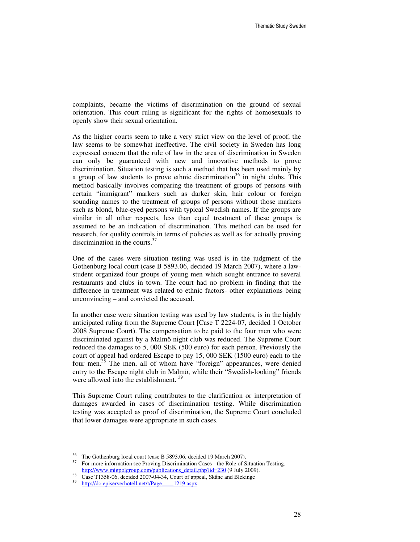complaints, became the victims of discrimination on the ground of sexual orientation. This court ruling is significant for the rights of homosexuals to openly show their sexual orientation.

As the higher courts seem to take a very strict view on the level of proof, the law seems to be somewhat ineffective. The civil society in Sweden has long expressed concern that the rule of law in the area of discrimination in Sweden can only be guaranteed with new and innovative methods to prove discrimination. Situation testing is such a method that has been used mainly by a group of law students to prove ethnic discrimination<sup>36</sup> in night clubs. This method basically involves comparing the treatment of groups of persons with certain "immigrant" markers such as darker skin, hair colour or foreign sounding names to the treatment of groups of persons without those markers such as blond, blue-eyed persons with typical Swedish names. If the groups are similar in all other respects, less than equal treatment of these groups is assumed to be an indication of discrimination. This method can be used for research, for quality controls in terms of policies as well as for actually proving discrimination in the courts.<sup>37</sup>

One of the cases were situation testing was used is in the judgment of the Gothenburg local court (case B 5893.06, decided 19 March 2007), where a lawstudent organized four groups of young men which sought entrance to several restaurants and clubs in town. The court had no problem in finding that the difference in treatment was related to ethnic factors- other explanations being unconvincing – and convicted the accused.

In another case were situation testing was used by law students, is in the highly anticipated ruling from the Supreme Court [Case T 2224-07, decided 1 October 2008 Supreme Court). The compensation to be paid to the four men who were discriminated against by a Malmö night club was reduced. The Supreme Court reduced the damages to 5, 000 SEK (500 euro) for each person. Previously the court of appeal had ordered Escape to pay 15, 000 SEK (1500 euro) each to the four men.<sup>38</sup> The men, all of whom have "foreign" appearances, were denied entry to the Escape night club in Malmö, while their "Swedish-looking" friends were allowed into the establishment.<sup>39</sup>

This Supreme Court ruling contributes to the clarification or interpretation of damages awarded in cases of discrimination testing. While discrimination testing was accepted as proof of discrimination, the Supreme Court concluded that lower damages were appropriate in such cases.

<sup>&</sup>lt;sup>36</sup> The Gothenburg local court (case B 5893.06, decided 19 March 2007).<br><sup>37</sup> For more information see Proving Discrimination Cases - the Role of S

<sup>37</sup> For more information see Proving Discrimination Cases - the Role of Situation Testing. http://www.migpolgroup.com/publications\_detail.php?id=230 (9 July 2009).

Case T1358-06, decided 2007-04-34, Court of appeal, Skåne and Blekinge

<sup>39</sup> http://do.episerverhotell.net/t/Page\_\_\_\_1219.aspx.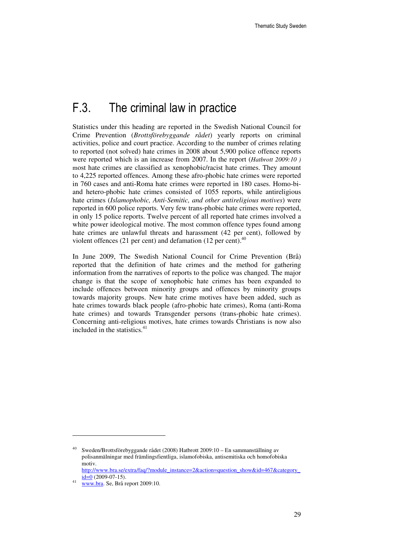## F.3. The criminal law in practice

Statistics under this heading are reported in the Swedish National Council for Crime Prevention (*Brottsförebyggande rådet*) yearly reports on criminal activities, police and court practice. According to the number of crimes relating to reported (not solved) hate crimes in 2008 about 5,900 police offence reports were reported which is an increase from 2007. In the report (*Hatbrott 2009:10 )*  most hate crimes are classified as xenophobic/racist hate crimes. They amount to 4,225 reported offences. Among these afro-phobic hate crimes were reported in 760 cases and anti-Roma hate crimes were reported in 180 cases. Homo-biand hetero-phobic hate crimes consisted of 1055 reports, while antireligious hate crimes (*Islamophobic, Anti-Semitic, and other antireligious motives*) were reported in 600 police reports. Very few trans-phobic hate crimes were reported, in only 15 police reports. Twelve percent of all reported hate crimes involved a white power ideological motive. The most common offence types found among hate crimes are unlawful threats and harassment (42 per cent), followed by violent offences (21 per cent) and defamation (12 per cent). $40$ 

In June 2009, The Swedish National Council for Crime Prevention (Brå) reported that the definition of hate crimes and the method for gathering information from the narratives of reports to the police was changed. The major change is that the scope of xenophobic hate crimes has been expanded to include offences between minority groups and offences by minority groups towards majority groups. New hate crime motives have been added, such as hate crimes towards black people (afro-phobic hate crimes), Roma (anti-Roma hate crimes) and towards Transgender persons (trans-phobic hate crimes). Concerning anti-religious motives, hate crimes towards Christians is now also included in the statistics. $41$ 

<sup>&</sup>lt;sup>40</sup> Sweden/Brottsförebyggande rådet (2008) Hatbrott 2009:10 – En sammanställning av polisanmälningar med främlingsfientliga, islamofobiska, antisemitiska och homofobiska motiv.

http://www.bra.se/extra/faq/?module\_instance=2&action=question\_show&id=467&category\_  $id=0$  (2009-07-15).

<sup>41</sup> www.bra. Se, Brå report 2009:10.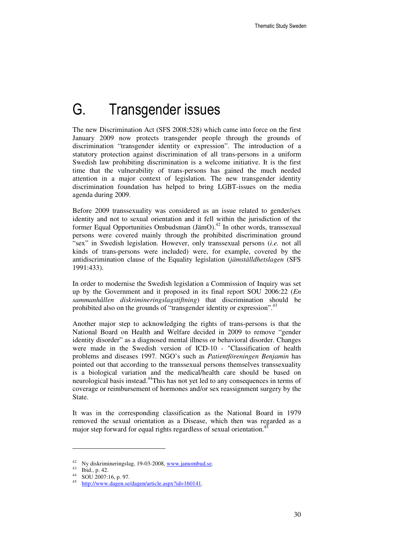# G. Transgender issues

The new Discrimination Act (SFS 2008:528) which came into force on the first January 2009 now protects transgender people through the grounds of discrimination "transgender identity or expression". The introduction of a statutory protection against discrimination of all trans-persons in a uniform Swedish law prohibiting discrimination is a welcome initiative. It is the first time that the vulnerability of trans-persons has gained the much needed attention in a major context of legislation. The new transgender identity discrimination foundation has helped to bring LGBT-issues on the media agenda during 2009.

Before 2009 transsexuality was considered as an issue related to gender/sex identity and not to sexual orientation and it fell within the jurisdiction of the former Equal Opportunities Ombudsman (JämO).<sup>42</sup> In other words, transsexual persons were covered mainly through the prohibited discrimination ground "sex" in Swedish legislation. However, only transsexual persons (*i.e.* not all kinds of trans-persons were included) were, for example, covered by the antidiscrimination clause of the Equality legislation (*jämställdhetslagen* (SFS 1991:433).

In order to modernise the Swedish legislation a Commission of Inquiry was set up by the Government and it proposed in its final report SOU 2006:22 (*En sammanhållen diskrimineringslagstiftning*) that discrimination should be prohibited also on the grounds of "transgender identity or expression".<sup>43</sup>

Another major step to acknowledging the rights of trans-persons is that the National Board on Health and Welfare decided in 2009 to remove "gender identity disorder" as a diagnosed mental illness or behavioral disorder. Changes were made in the Swedish version of ICD-10 - "Classification of health problems and diseases 1997. NGO's such as *Patientföreningen Benjamin* has pointed out that according to the transsexual persons themselves transsexuality is a biological variation and the medical/health care should be based on neurological basis instead.<sup>44</sup>This has not yet led to any consequences in terms of coverage or reimbursement of hormones and/or sex reassignment surgery by the State.

It was in the corresponding classification as the National Board in 1979 removed the sexual orientation as a Disease, which then was regarded as a major step forward for equal rights regardless of sexual orientation.<sup>45</sup>

<sup>&</sup>lt;sup>42</sup> Ny diskrimineringslag, 19-03-2008, www.jamombud.se.

<sup>43</sup> Ibid., p. 42.

<sup>44</sup> SOU 2007:16, p. 97.

<sup>45</sup> http://www.dagen.se/dagen/article.aspx?id=160141.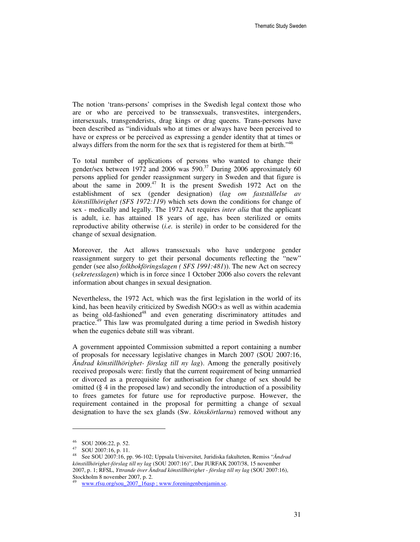The notion 'trans-persons' comprises in the Swedish legal context those who are or who are perceived to be transsexuals, transvestites, intergenders, intersexuals, transgenderists, drag kings or drag queens. Trans-persons have been described as "individuals who at times or always have been perceived to have or express or be perceived as expressing a gender identity that at times or always differs from the norm for the sex that is registered for them at birth."<sup>46</sup>

To total number of applications of persons who wanted to change their gender/sex between 1972 and 2006 was  $590<sup>37</sup>$  During 2006 approximately 60 persons applied for gender reassignment surgery in Sweden and that figure is about the same in  $2009<sup>47</sup>$  It is the present Swedish 1972 Act on the establishment of sex (gender designation) (*lag om fastställelse av könstillhörighet (SFS 1972:119*) which sets down the conditions for change of sex - medically and legally. The 1972 Act requires *inter alia* that the applicant is adult, i.e. has attained 18 years of age, has been sterilized or omits reproductive ability otherwise (*i.e.* is sterile) in order to be considered for the change of sexual designation.

Moreover, the Act allows transsexuals who have undergone gender reassignment surgery to get their personal documents reflecting the "new" gender (see also *folkbokföringslagen ( SFS 1991:481*)). The new Act on secrecy (*sekretesslagen*) which is in force since 1 October 2006 also covers the relevant information about changes in sexual designation.

Nevertheless, the 1972 Act, which was the first legislation in the world of its kind, has been heavily criticized by Swedish NGO:s as well as within academia as being old-fashioned<sup>48</sup> and even generating discriminatory attitudes and practice.<sup>49</sup> This law was promulgated during a time period in Swedish history when the eugenics debate still was vibrant.

A government appointed Commission submitted a report containing a number of proposals for necessary legislative changes in March 2007 (SOU 2007:16, *Ändrad könstillhörighet- förslag till ny lag*). Among the generally positively received proposals were: firstly that the current requirement of being unmarried or divorced as a prerequisite for authorisation for change of sex should be omitted (§ 4 in the proposed law) and secondly the introduction of a possibility to frees gametes for future use for reproductive purpose. However, the requirement contained in the proposal for permitting a change of sexual designation to have the sex glands (Sw. *könskörtlarna*) removed without any

<sup>46</sup> SOU 2006:22, p. 52.

<sup>47</sup> SOU 2007:16, p. 11.

<sup>48</sup> See SOU 2007:16, pp. 96-102; Uppsala Universitet, Juridiska fakulteten, Remiss "*Ändrad könstillhörighet-förslag till ny lag* (SOU 2007:16)", Dnr JURFAK 2007/38, 15 november 2007, p. 1; RFSL, *Yttrande över Ändrad könstillhörighet - förslag till ny lag* (SOU 2007:16), Stockholm 8 november 2007, p. 2.

<sup>49</sup> www.rfsu.org/sou\_2007\_16asp ; www.foreningenbenjamin.se.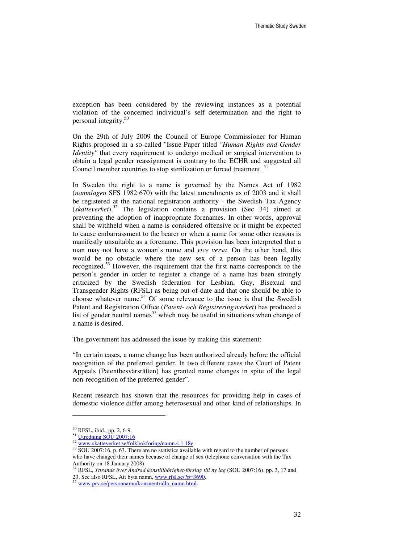exception has been considered by the reviewing instances as a potential violation of the concerned individual's self determination and the right to personal integrity.<sup>50</sup>

On the 29th of July 2009 the Council of Europe Commissioner for Human Rights proposed in a so-called "Issue Paper titled *"Human Rights and Gender Identity*" that every requirement to undergo medical or surgical intervention to obtain a legal gender reassignment is contrary to the ECHR and suggested all Council member countries to stop sterilization or forced treatment.<sup>51</sup>

In Sweden the right to a name is governed by the Names Act of 1982 (*namnlagen* SFS 1982:670) with the latest amendments as of 2003 and it shall be registered at the national registration authority - the Swedish Tax Agency (*skatteverket*).<sup>52</sup> The legislation contains a provision (Sec 34) aimed at preventing the adoption of inappropriate forenames. In other words, approval shall be withheld when a name is considered offensive or it might be expected to cause embarrassment to the bearer or when a name for some other reasons is manifestly unsuitable as a forename. This provision has been interpreted that a man may not have a woman's name and *vice versa*. On the other hand, this would be no obstacle where the new sex of a person has been legally recognized.<sup>53</sup> However, the requirement that the first name corresponds to the person's gender in order to register a change of a name has been strongly criticized by the Swedish federation for Lesbian, Gay, Bisexual and Transgender Rights (RFSL) as being out-of-date and that one should be able to choose whatever name.<sup>54</sup> Of some relevance to the issue is that the Swedish Patent and Registration Office (*Patent- och Registreringsverket*) has produced a list of gender neutral names<sup>55</sup> which may be useful in situations when change of a name is desired.

The government has addressed the issue by making this statement:

"In certain cases, a name change has been authorized already before the official recognition of the preferred gender. In two different cases the Court of Patent Appeals (Patentbesvärsrätten) has granted name changes in spite of the legal non-recognition of the preferred gender".

Recent research has shown that the resources for providing help in cases of domestic violence differ among heterosexual and other kind of relationships. In

<sup>50</sup> RFSL, ibid., pp. 2, 6-9.

<sup>51</sup> Utredning SOU 2007:16

<sup>52</sup> www.skatteverket.se/folkbokforing/namn.4.1.18e.

 $53$  SOU 2007:16, p. 63. There are no statistics available with regard to the number of persons who have changed their names because of change of sex (telephone conversation with the Tax Authority on 18 January 2008).

<sup>54</sup> RFSL, *Yttrande över Ändrad könstillhörighet-förslag till ny lag* (SOU 2007:16), pp. 3, 17 and 23. See also RFSL, Att byta namn, www.rfsl.se/?p=3690.

<sup>55</sup> www.prv.se/personnamn/konsneutralla\_namn.html.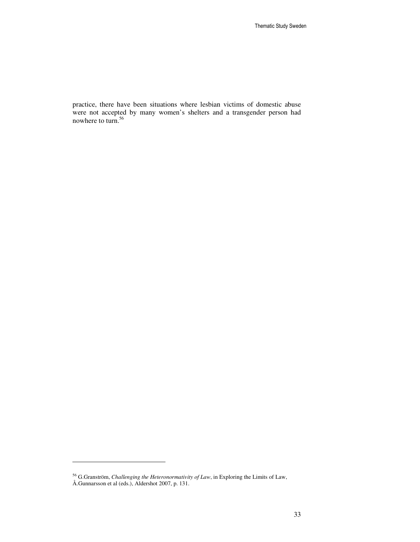practice, there have been situations where lesbian victims of domestic abuse were not accepted by many women's shelters and a transgender person had nowhere to turn.<sup>56</sup>

<sup>56</sup> G.Granström, *Challenging the Heteronormativity of Law*, in Exploring the Limits of Law, Å.Gunnarsson et al (eds.), Aldershot 2007, p. 131.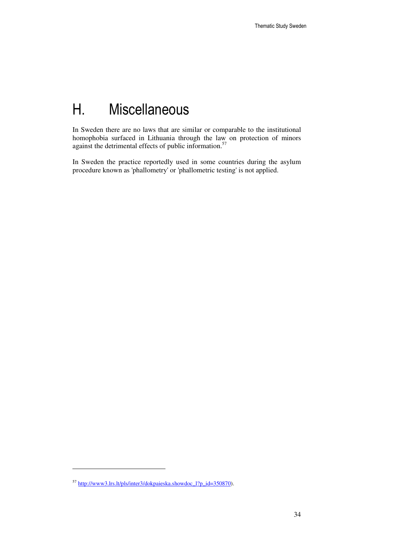# H. Miscellaneous

In Sweden there are no laws that are similar or comparable to the institutional homophobia surfaced in Lithuania through the law on protection of minors against the detrimental effects of public information.<sup>57</sup>

In Sweden the practice reportedly used in some countries during the asylum procedure known as 'phallometry' or 'phallometric testing' is not applied.

l

<sup>57</sup> http://www3.lrs.lt/pls/inter3/dokpaieska.showdoc\_l?p\_id=350870).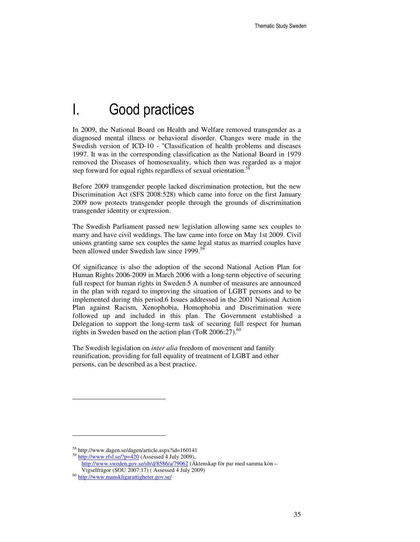## I. Good practices

In 2009, the National Board on Health and Welfare removed transgender as a diagnosed mental illness or behavioral disorder. Changes were made in the Swedish version of ICD-10 - "Classification of health problems and diseases 1997. It was in the corresponding classification as the National Board in 1979 removed the Diseases of homosexuality, which then was regarded as a major step forward for equal rights regardless of sexual orientation.<sup>58</sup>

Before 2009 transgender people lacked discrimination protection, but the new Discrimination Act (SFS 2008:528) which came into force on the first January 2009 now protects transgender people through the grounds of discrimination transgender identity or expression.

The Swedish Parliament passed new legislation allowing same sex couples to marry and have civil weddings. The law came into force on May 1st 2009. Civil unions granting same sex couples the same legal status as married couples have been allowed under Swedish law since 1999.<sup>59</sup>

Of significance is also the adoption of the second National Action Plan for Human Rights 2006-2009 in March 2006 with a long-term objective of securing full respect for human rights in Sweden.5 A number of measures are announced in the plan with regard to improving the situation of LGBT persons and to be implemented during this period.6 Issues addressed in the 2001 National Action Plan against Racism, Xenophobia, Homophobia and Discrimination were followed up and included in this plan. The Government established a Delegation to support the long-term task of securing full respect for human rights in Sweden based on the action plan (ToR  $2006:27$ ).<sup>60</sup>

The Swedish legislation on *inter alia* freedom of movement and family reunification, providing for full equality of treatment of LGBT and other persons, can be described as a best practice.

<sup>58</sup> http://www.dagen.se/dagen/article.aspx?id=160141

 $^{59}$  http://www.rfsl.se/?p=420 (Assessed 4 July 2009),

http://www.sweden.gov.se/sb/d/8586/a/79062 (Äktenskap för par med samma kön – Vigselfrågor (SOU 2007:17) ( Assessed 4 July 2009)

<sup>60</sup> http://www.manskligarattigheter.gov.se/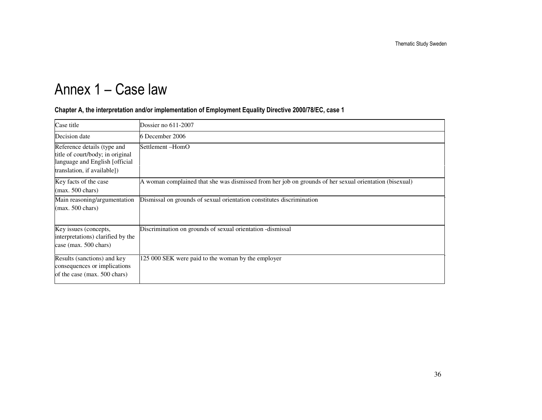# Annex 1 – Case law

#### Chapter A, the interpretation and/or implementation of Employment Equality Directive 2000/78/EC, case 1

| Case title                                                                                                                        | Dossier no $611-2007$                                                                                  |
|-----------------------------------------------------------------------------------------------------------------------------------|--------------------------------------------------------------------------------------------------------|
| Decision date                                                                                                                     | 6 December 2006                                                                                        |
| Reference details (type and<br>title of court/body; in original<br>language and English [official]<br>translation, if available]) | Settlement-HomO                                                                                        |
| Key facts of the case<br>$(max. 500 \text{ chars})$                                                                               | A woman complained that she was dismissed from her job on grounds of her sexual orientation (bisexual) |
| Main reasoning/argumentation<br>$(max. 500 \text{ chars})$                                                                        | Dismissal on grounds of sexual orientation constitutes discrimination                                  |
| Key issues (concepts,<br>interpretations) clarified by the<br>case (max. 500 chars)                                               | Discrimination on grounds of sexual orientation - dismissal                                            |
| Results (sanctions) and key<br>consequences or implications<br>of the case (max. 500 chars)                                       | 125 000 SEK were paid to the woman by the employer                                                     |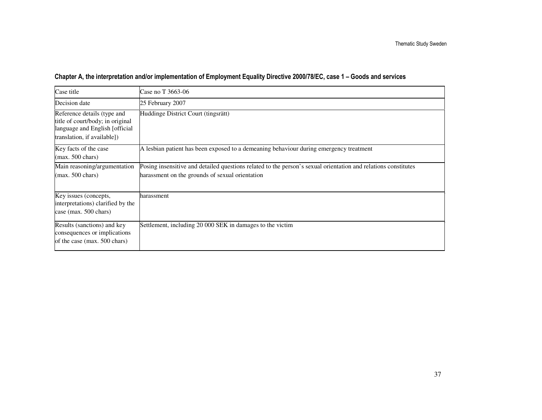### Chapter A, the interpretation and/or implementation of Employment Equality Directive 2000/78/EC, case 1 – Goods and services

| Case title                                                                                                                       | Case no T 3663-06                                                                                                                                                 |
|----------------------------------------------------------------------------------------------------------------------------------|-------------------------------------------------------------------------------------------------------------------------------------------------------------------|
| Decision date                                                                                                                    | 25 February 2007                                                                                                                                                  |
| Reference details (type and<br>title of court/body; in original<br>language and English [official<br>translation, if available]) | Huddinge District Court (tingsrätt)                                                                                                                               |
| Key facts of the case<br>$(max. 500 \text{ chars})$                                                                              | A lesbian patient has been exposed to a demeaning behaviour during emergency treatment                                                                            |
| Main reasoning/argumentation<br>$(max. 500 \text{ chars})$                                                                       | Posing insensitive and detailed questions related to the person's sexual orientation and relations constitutes<br>harassment on the grounds of sexual orientation |
| Key issues (concepts,<br>interpretations) clarified by the<br>case (max. 500 chars)                                              | harassment                                                                                                                                                        |
| Results (sanctions) and key<br>consequences or implications<br>of the case (max. 500 chars)                                      | Settlement, including 20 000 SEK in damages to the victim                                                                                                         |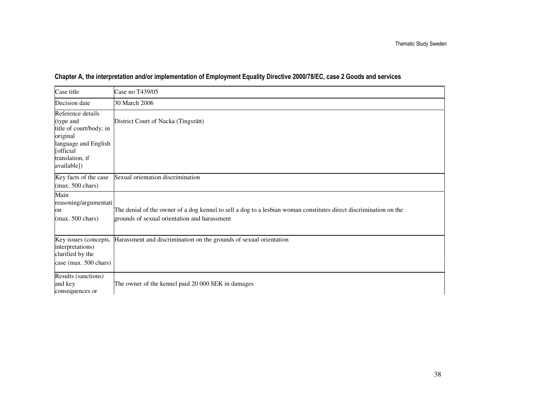| Case title                                                                                                                                   | Case no T439/05                                                                                                                                                   |
|----------------------------------------------------------------------------------------------------------------------------------------------|-------------------------------------------------------------------------------------------------------------------------------------------------------------------|
| Decision date                                                                                                                                | 30 March 2006                                                                                                                                                     |
| Reference details<br>(type and<br>title of court/body; in<br>original<br>language and English<br>[official<br>translation, if<br>available]) | District Court of Nacka (Tingsrätt)                                                                                                                               |
| Key facts of the case<br>$(max. 500 \text{ chars})$                                                                                          | Sexual orientation discrimination                                                                                                                                 |
| Main<br>reasoning/argumentati<br>on<br>$(max. 500 \text{ chars})$                                                                            | The denial of the owner of a dog kennel to sell a dog to a lesbian woman constitutes direct discrimination on the<br>grounds of sexual orientation and harassment |
| Key issues (concepts,<br>interpretations)<br>clarified by the<br>case (max. 500 chars)                                                       | Harassment and discrimination on the grounds of sexual orientation                                                                                                |
| Results (sanctions)<br>and key<br>consequences or                                                                                            | The owner of the kennel paid 20 000 SEK in damages                                                                                                                |

### Chapter A, the interpretation and/or implementation of Employment Equality Directive 2000/78/EC, case 2 Goods and services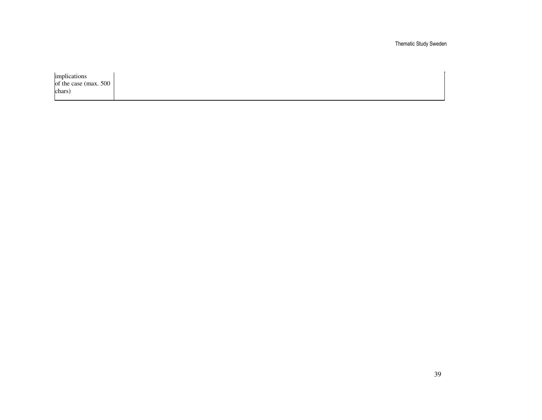Thematic Study Sweden

implications of the case (max. 500 chars)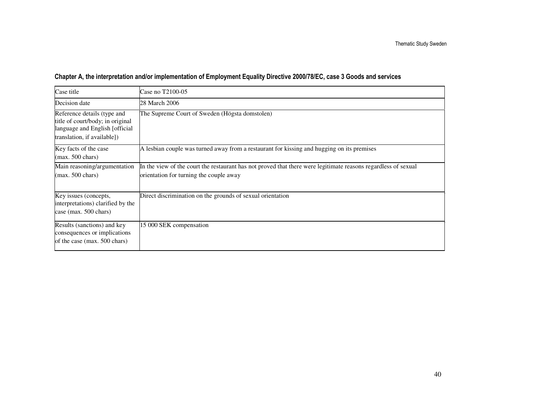### Chapter A, the interpretation and/or implementation of Employment Equality Directive 2000/78/EC, case 3 Goods and services

| Case title                                                                                                                       | Case no T2100-05                                                                                                                                          |
|----------------------------------------------------------------------------------------------------------------------------------|-----------------------------------------------------------------------------------------------------------------------------------------------------------|
| Decision date                                                                                                                    | 28 March 2006                                                                                                                                             |
| Reference details (type and<br>title of court/body; in original<br>language and English [official<br>translation, if available]) | The Supreme Court of Sweden (Högsta domstolen)                                                                                                            |
| Key facts of the case<br>$(max. 500 \text{ chars})$                                                                              | A lesbian couple was turned away from a restaurant for kissing and hugging on its premises                                                                |
| Main reasoning/argumentation<br>$(max. 500 \text{ chars})$                                                                       | In the view of the court the restaurant has not proved that there were legitimate reasons regardless of sexual<br>orientation for turning the couple away |
| Key issues (concepts,<br>interpretations) clarified by the<br>case (max. 500 chars)                                              | Direct discrimination on the grounds of sexual orientation                                                                                                |
| Results (sanctions) and key<br>consequences or implications<br>of the case (max. 500 chars)                                      | 15 000 SEK compensation                                                                                                                                   |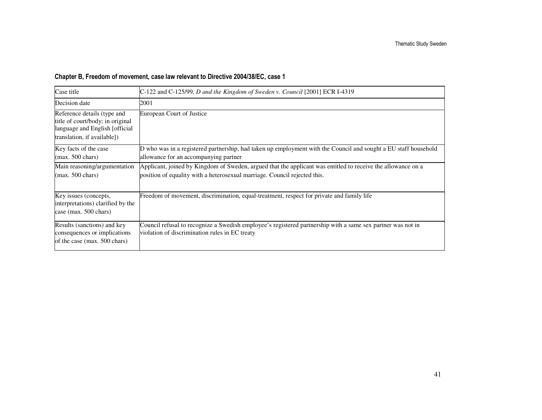### Chapter B, Freedom of movement, case law relevant to Directive 2004/38/EC, case 1

| Case title                                                                                                                       | C-122 and C-125/99, D and the Kingdom of Sweden v. Council [2001] ECR I-4319                                                                                                              |
|----------------------------------------------------------------------------------------------------------------------------------|-------------------------------------------------------------------------------------------------------------------------------------------------------------------------------------------|
| Decision date                                                                                                                    | 2001                                                                                                                                                                                      |
| Reference details (type and<br>title of court/body; in original<br>language and English [official<br>translation, if available]) | European Court of Justice                                                                                                                                                                 |
| Key facts of the case<br>$(max. 500 \text{ chars})$                                                                              | D who was in a registered partnership, had taken up employment with the Council and sought a EU staff household<br>allowance for an accompanying partner                                  |
| Main reasoning/argumentation<br>$(max. 500 \text{ chars})$                                                                       | Applicant, joined by Kingdom of Sweden, argued that the applicant was entitled to receive the allowance on a<br>position of equality with a heterosexual marriage. Council rejected this. |
| Key issues (concepts,<br>interpretations) clarified by the<br>case (max. 500 chars)                                              | Freedom of movement, discrimination, equal-treatment, respect for private and family life                                                                                                 |
| Results (sanctions) and key<br>consequences or implications<br>of the case (max. 500 chars)                                      | Council refusal to recognize a Swedish employee's registered partnership with a same sex partner was not in<br>violation of discrimination rules in EC treaty                             |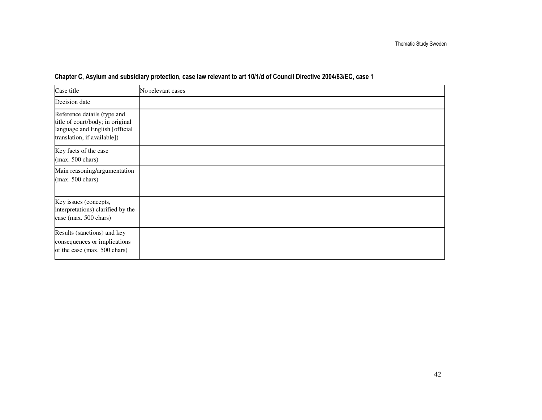| Case title                                                                                                                       | No relevant cases |
|----------------------------------------------------------------------------------------------------------------------------------|-------------------|
| Decision date                                                                                                                    |                   |
| Reference details (type and<br>title of court/body; in original<br>language and English [official<br>translation, if available]) |                   |
| Key facts of the case<br>$(max. 500 \text{ chars})$                                                                              |                   |
| Main reasoning/argumentation<br>$(max. 500 \text{ chars})$                                                                       |                   |
| Key issues (concepts,<br>interpretations) clarified by the<br>case (max. 500 chars)                                              |                   |
| Results (sanctions) and key<br>consequences or implications<br>of the case (max. 500 chars)                                      |                   |

### Chapter C, Asylum and subsidiary protection, case law relevant to art 10/1/d of Council Directive 2004/83/EC, case 1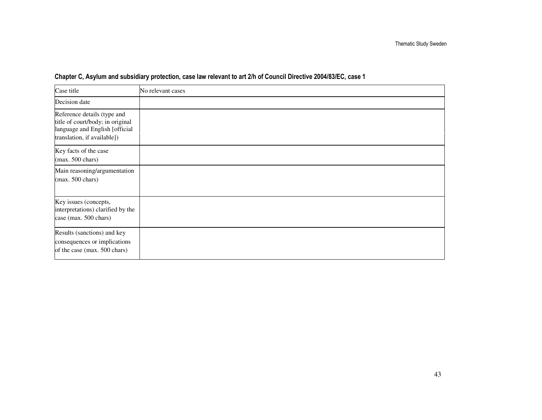| Case title                                                                                                                       | No relevant cases |
|----------------------------------------------------------------------------------------------------------------------------------|-------------------|
| Decision date                                                                                                                    |                   |
| Reference details (type and<br>title of court/body; in original<br>language and English [official<br>translation, if available]) |                   |
| Key facts of the case<br>$(max. 500 \text{ chars})$                                                                              |                   |
| Main reasoning/argumentation<br>$(max. 500 \text{ chars})$                                                                       |                   |
| Key issues (concepts,<br>interpretations) clarified by the<br>case (max. 500 chars)                                              |                   |
| Results (sanctions) and key<br>consequences or implications<br>of the case (max. 500 chars)                                      |                   |

### Chapter C, Asylum and subsidiary protection, case law relevant to art 2/h of Council Directive 2004/83/EC, case 1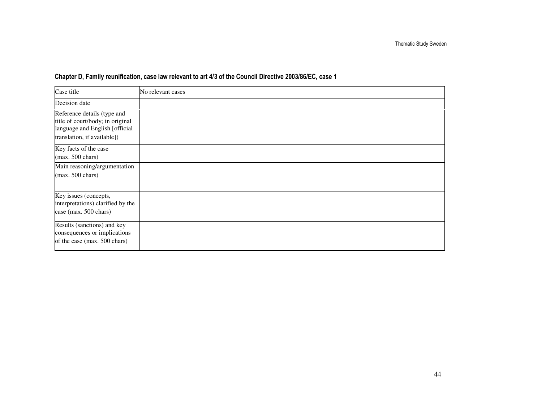| Case title                                                                                                                       | No relevant cases |
|----------------------------------------------------------------------------------------------------------------------------------|-------------------|
| Decision date                                                                                                                    |                   |
| Reference details (type and<br>title of court/body; in original<br>language and English [official<br>translation, if available]) |                   |
| Key facts of the case<br>$(max. 500 \text{ chars})$                                                                              |                   |
| Main reasoning/argumentation<br>$(max. 500 \text{ chars})$                                                                       |                   |
| Key issues (concepts,<br>interpretations) clarified by the<br>case (max. 500 chars)                                              |                   |
| Results (sanctions) and key<br>consequences or implications<br>of the case (max. 500 chars)                                      |                   |

### Chapter D, Family reunification, case law relevant to art 4/3 of the Council Directive 2003/86/EC, case 1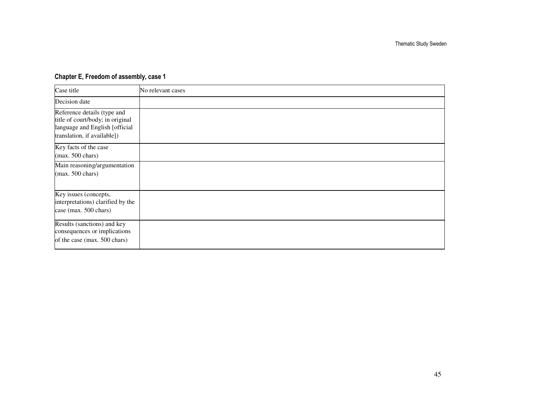### Chapter E, Freedom of assembly, case 1

| Case title                                                                                                                       | No relevant cases |
|----------------------------------------------------------------------------------------------------------------------------------|-------------------|
| Decision date                                                                                                                    |                   |
| Reference details (type and<br>title of court/body; in original<br>language and English [official<br>translation, if available]) |                   |
| Key facts of the case<br>$(max. 500 \text{ chars})$                                                                              |                   |
| Main reasoning/argumentation<br>$(max. 500 \text{ chars})$                                                                       |                   |
| Key issues (concepts,<br>interpretations) clarified by the<br>case (max. 500 chars)                                              |                   |
| Results (sanctions) and key<br>consequences or implications<br>of the case (max. 500 chars)                                      |                   |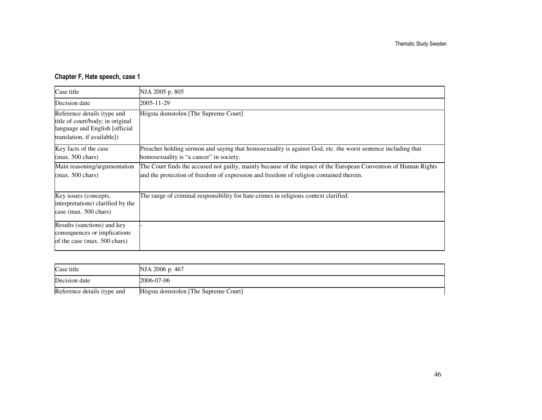### Chapter F, Hate speech, case 1

| Case title                                                                                                                        | NJA 2005 p. 805                                                                                                                                                                                           |
|-----------------------------------------------------------------------------------------------------------------------------------|-----------------------------------------------------------------------------------------------------------------------------------------------------------------------------------------------------------|
| Decision date                                                                                                                     | 2005-11-29                                                                                                                                                                                                |
| Reference details (type and<br>title of court/body; in original<br>language and English [official]<br>translation, if available]) | Högsta domstolen [The Supreme Court]                                                                                                                                                                      |
| Key facts of the case<br>$(max. 500 \text{ chars})$                                                                               | Preacher holding sermon and saying that homosexuality is against God, etc. the worst sentence including that<br>homosexuality is "a cancer" in society.                                                   |
| Main reasoning/argumentation<br>$(max. 500 \text{ chars})$                                                                        | The Court finds the accused not guilty, mainly because of the impact of the European Convention of Human Rights<br>and the protection of freedom of expression and freedom of religion contained therein. |
| Key issues (concepts,<br>interpretations) clarified by the<br>case (max. 500 chars)                                               | The range of criminal responsibility for hate-crimes in religious context clarified.                                                                                                                      |
| Results (sanctions) and key<br>consequences or implications<br>of the case (max. 500 chars)                                       |                                                                                                                                                                                                           |

| Case title                  | NJA 2006 p. 467                      |
|-----------------------------|--------------------------------------|
| Decision date               | 2006-07-06                           |
| Reference details (type and | Högsta domstolen [The Supreme Court] |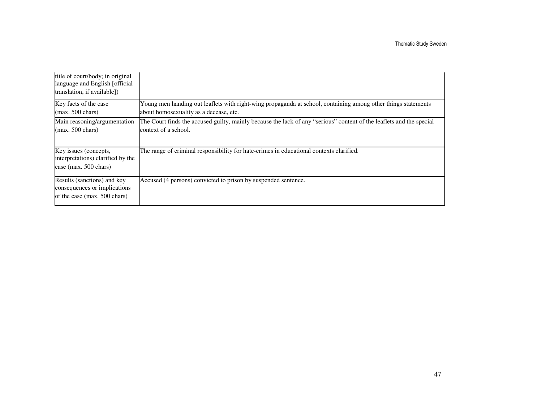| title of court/body; in original<br>language and English [official]<br>translation, if available]) |                                                                                                                                                         |
|----------------------------------------------------------------------------------------------------|---------------------------------------------------------------------------------------------------------------------------------------------------------|
| Key facts of the case<br>$(max. 500 \text{ chars})$                                                | Young men handing out leaflets with right-wing propaganda at school, containing among other things statements<br>about homosexuality as a decease, etc. |
| Main reasoning/argumentation<br>$(max. 500 \text{ chars})$                                         | The Court finds the accused guilty, mainly because the lack of any "serious" content of the leaflets and the special<br>context of a school.            |
| Key issues (concepts,<br>interpretations) clarified by the<br>case (max. 500 chars)                | The range of criminal responsibility for hate-crimes in educational contexts clarified.                                                                 |
| Results (sanctions) and key<br>consequences or implications<br>of the case (max. 500 chars)        | Accused (4 persons) convicted to prison by suspended sentence.                                                                                          |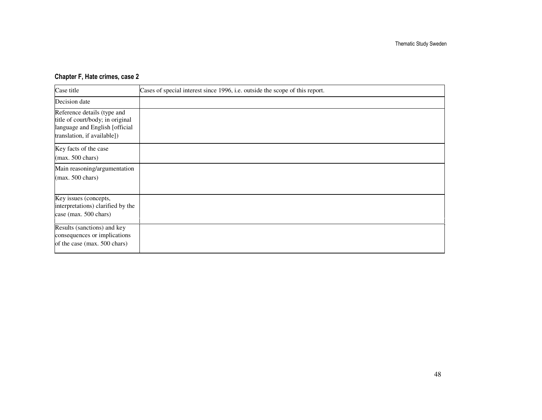### Chapter F, Hate crimes, case 2

| Case title                                                                                                                       | Cases of special interest since 1996, i.e. outside the scope of this report. |
|----------------------------------------------------------------------------------------------------------------------------------|------------------------------------------------------------------------------|
| Decision date                                                                                                                    |                                                                              |
| Reference details (type and<br>title of court/body; in original<br>language and English [official<br>translation, if available]) |                                                                              |
| Key facts of the case<br>$(max. 500 \text{ chars})$                                                                              |                                                                              |
| Main reasoning/argumentation<br>$(max. 500 \text{ chars})$                                                                       |                                                                              |
| Key issues (concepts,<br>interpretations) clarified by the<br>case (max. 500 chars)                                              |                                                                              |
| Results (sanctions) and key<br>consequences or implications<br>of the case (max. 500 chars)                                      |                                                                              |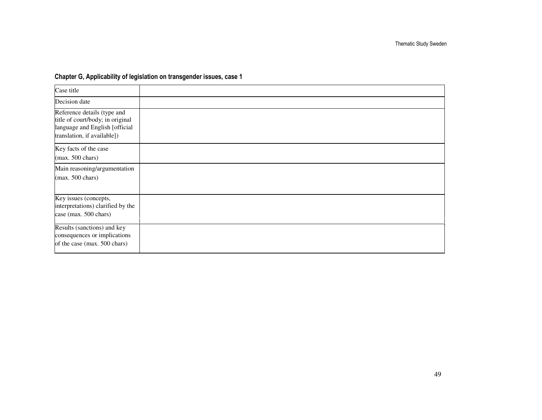### Chapter G, Applicability of legislation on transgender issues, case 1

| Case title                                                                                                                       |  |
|----------------------------------------------------------------------------------------------------------------------------------|--|
| Decision date                                                                                                                    |  |
| Reference details (type and<br>title of court/body; in original<br>language and English [official<br>translation, if available]) |  |
| Key facts of the case<br>$(max. 500 \text{ chars})$                                                                              |  |
| Main reasoning/argumentation<br>$(max. 500 \text{ chars})$                                                                       |  |
| Key issues (concepts,<br>interpretations) clarified by the<br>case (max. 500 chars)                                              |  |
| Results (sanctions) and key<br>consequences or implications<br>of the case (max. 500 chars)                                      |  |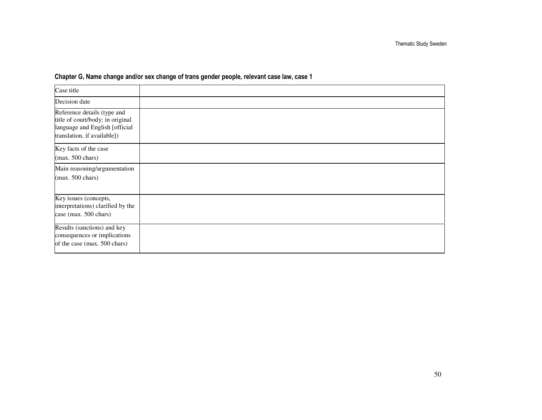| Case title                                                                                                                       |  |
|----------------------------------------------------------------------------------------------------------------------------------|--|
| Decision date                                                                                                                    |  |
| Reference details (type and<br>title of court/body; in original<br>language and English [official<br>translation, if available]) |  |
| Key facts of the case<br>(max. 500 chars)                                                                                        |  |
| Main reasoning/argumentation<br>$(max. 500 \text{ chars})$                                                                       |  |
| Key issues (concepts,<br>interpretations) clarified by the<br>case (max. 500 chars)                                              |  |
| Results (sanctions) and key<br>consequences or implications<br>of the case (max. 500 chars)                                      |  |

#### Chapter G, Name change and/or sex change of trans gender people, relevant case law, case 1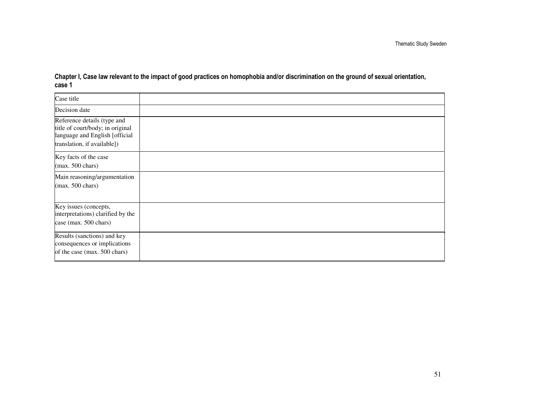Case title Decision dateReference details (type and title of court/body; in original language and English [official translation, if available])Key facts of the case(max. 500 chars)Main reasoning/argumentation(max. 500 chars)Key issues (concepts, interpretations) clarified by thecase (max. 500 chars)Results (sanctions) and key consequences or implicationsof the case (max. 500 chars)

Chapter I, Case law relevant to the impact of good practices on homophobia and/or discrimination on the ground of sexual orientation, case 1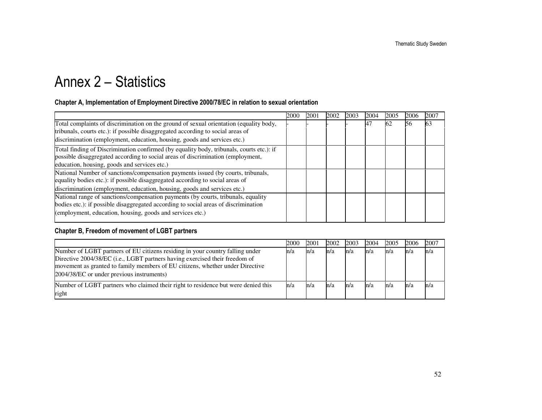# Annex 2 – Statistics

#### Chapter A, Implementation of Employment Directive 2000/78/EC in relation to sexual orientation

|                                                                                          | 2000 | 2001 | 2002 | 2003 | 2004      | 2005 | 2006 | 2007 |
|------------------------------------------------------------------------------------------|------|------|------|------|-----------|------|------|------|
| Total complaints of discrimination on the ground of sexual orientation (equality body,   |      |      |      |      | <b>A7</b> | 62   | 56   | 63   |
| tribunals, courts etc.): if possible disaggregated according to social areas of          |      |      |      |      |           |      |      |      |
| discrimination (employment, education, housing, goods and services etc.)                 |      |      |      |      |           |      |      |      |
| Total finding of Discrimination confirmed (by equality body, tribunals, courts etc.): if |      |      |      |      |           |      |      |      |
| possible disaggregated according to social areas of discrimination (employment,          |      |      |      |      |           |      |      |      |
| education, housing, goods and services etc.)                                             |      |      |      |      |           |      |      |      |
| National Number of sanctions/compensation payments issued (by courts, tribunals,         |      |      |      |      |           |      |      |      |
| equality bodies etc.): if possible disaggregated according to social areas of            |      |      |      |      |           |      |      |      |
| discrimination (employment, education, housing, goods and services etc.)                 |      |      |      |      |           |      |      |      |
| National range of sanctions/compensation payments (by courts, tribunals, equality        |      |      |      |      |           |      |      |      |
| bodies etc.): if possible disaggregated according to social areas of discrimination      |      |      |      |      |           |      |      |      |
| (employment, education, housing, goods and services etc.)                                |      |      |      |      |           |      |      |      |

### Chapter B, Freedom of movement of LGBT partners

|                                                                                                                                                                                                                                                                                            | 2000 | 2001 | 2002 | 2003 | 2004 | 2005 | 2006 | 2007 |
|--------------------------------------------------------------------------------------------------------------------------------------------------------------------------------------------------------------------------------------------------------------------------------------------|------|------|------|------|------|------|------|------|
| Number of LGBT partners of EU citizens residing in your country falling under<br>Directive 2004/38/EC (i.e., LGBT partners having exercised their freedom of<br>movement as granted to family members of EU citizens, whether under Directive<br>2004/38/EC or under previous instruments) | n/a  | ln/a | n/a  | ln/a | n/a  | n/a  | ln/a | n/a  |
| Number of LGBT partners who claimed their right to residence but were denied this<br>right                                                                                                                                                                                                 | n/a  | ln/a | n/a  | ln/a | ln/a | n/a  | m/a  | n/a  |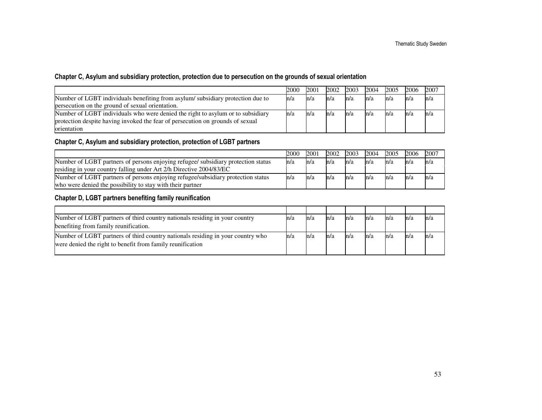#### Chapter C, Asylum and subsidiary protection, protection due to persecution on the grounds of sexual orientation

|                                                                                 | 2000 | 2001 | 2002 | 2003 | 2004 | 2005 | 2006 | 2007 |
|---------------------------------------------------------------------------------|------|------|------|------|------|------|------|------|
| Number of LGBT individuals benefiting from asylum/subsidiary protection due to  | n/a  | n/a  | ln/a | ln/a | ln/a | ln/a | n/a  | n/a  |
| persecution on the ground of sexual orientation.                                |      |      |      |      |      |      |      |      |
| Number of LGBT individuals who were denied the right to asylum or to subsidiary | m/a  | m/a  | ln/a | ln/a | ln/a | ln/a | h/a  | h/a  |
| protection despite having invoked the fear of persecution on grounds of sexual  |      |      |      |      |      |      |      |      |
| orientation                                                                     |      |      |      |      |      |      |      |      |

#### Chapter C, Asylum and subsidiary protection, protection of LGBT partners

|                                                                                   | 2000 | 2001 | 2002 | 2003 | 2004 | 2005 | 2006 | 2007 |
|-----------------------------------------------------------------------------------|------|------|------|------|------|------|------|------|
| Number of LGBT partners of persons enjoying refugee/ subsidiary protection status | ln/a | m/a  | ln/a | ln/a | ln/a | n/a  | ln/a | n/a  |
| residing in your country falling under Art 2/h Directive 2004/83/EC               |      |      |      |      |      |      |      |      |
| Number of LGBT partners of persons enjoying refugee/subsidiary protection status  | ln/a | m/a  | ln/a | ln/a | ln/a | n/a  | ln/a | m/a  |
| who were denied the possibility to stay with their partner                        |      |      |      |      |      |      |      |      |

#### Chapter D, LGBT partners benefiting family reunification

| Number of LGBT partners of third country nationals residing in your country     | n/a | n/a | m/a | ln/a | m/a | m/a | m/a | m/a |
|---------------------------------------------------------------------------------|-----|-----|-----|------|-----|-----|-----|-----|
| benefiting from family reunification.                                           |     |     |     |      |     |     |     |     |
| Number of LGBT partners of third country nationals residing in your country who | m/a | m/a | n/a | h/a  | m/a | n/a |     |     |
| were denied the right to benefit from family reunification                      |     |     |     |      |     |     |     |     |
|                                                                                 |     |     |     |      |     |     |     |     |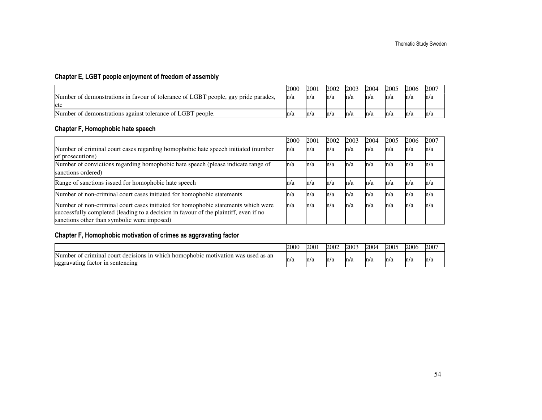### Chapter E, LGBT people enjoyment of freedom of assembly

|                                                                                    | 2000 | 2001 | 2002 | 2003 | 2004 | 2005 | 2006 | 2007 |
|------------------------------------------------------------------------------------|------|------|------|------|------|------|------|------|
| Number of demonstrations in favour of tolerance of LGBT people, gay pride parades, | ln/a | m/a  | n/a  | ln/a | ln/a | m/a  | ln/a | n/a  |
| etc                                                                                |      |      |      |      |      |      |      |      |
| Number of demonstrations against tolerance of LGBT people.                         | n/a  | n/a  | m/a  | ln/a | m/a  | m/a  | ln/a | n/a  |

#### Chapter F, Homophobic hate speech

|                                                                                                                                                                                                                          | 2000 | 2001 | 2002 | 2003 | 2004 | 2005 | 2006 | 2007 |
|--------------------------------------------------------------------------------------------------------------------------------------------------------------------------------------------------------------------------|------|------|------|------|------|------|------|------|
| Number of criminal court cases regarding homophobic hate speech initiated (number<br>of prosecutions)                                                                                                                    | n/a  | h/a  | n/a  | h/a  | n/a  | h/a  | n/a  | n/a  |
| Number of convictions regarding homophobic hate speech (please indicate range of<br>sanctions ordered)                                                                                                                   | n/a  | h/a  | h/a  | ln/a | n/a  | h/a  | n/a  | n/a  |
| Range of sanctions issued for homophobic hate speech                                                                                                                                                                     | n/a  | n/a  | ln/a | h/a  | n/a  | h/a  | n/a  | n/a  |
| Number of non-criminal court cases initiated for homophobic statements                                                                                                                                                   | n/a  | h/a  | n/a  | h/a  | n/a  | h/a  | h/a  | n/a  |
| Number of non-criminal court cases initiated for homophobic statements which were<br>successfully completed (leading to a decision in favour of the plaintiff, even if no<br>sanctions other than symbolic were imposed) | n/a  | h/a  | n/a  | ln/a | n/a  | n/a  | n/a  | n/a  |

### Chapter F, Homophobic motivation of crimes as aggravating factor

|                                                                                                                                                         | 2000 | 2001 | 2002 | 2003 | 2004 | 2005 | 2006 | 2007 |
|---------------------------------------------------------------------------------------------------------------------------------------------------------|------|------|------|------|------|------|------|------|
| Number<br>i homophobic<br>motivation<br>criminal<br>1n<br>used as an<br>cour<br>decisions<br>which<br>. വ<br>was<br>tactor in sentencing<br>aggravating | n/a  | m/a  | n/a  | m/a  | n/a  | ln/a | m/a  | n/a  |